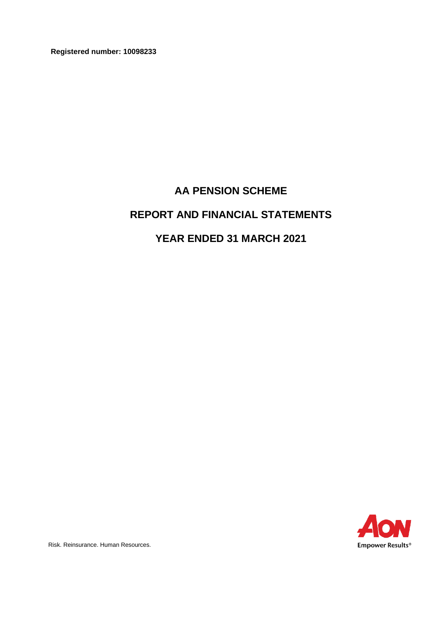**Registered number: 10098233**

# **AA PENSION SCHEME**

# **REPORT AND FINANCIAL STATEMENTS**

# **YEAR ENDED 31 MARCH 2021**



Risk. Reinsurance. Human Resources.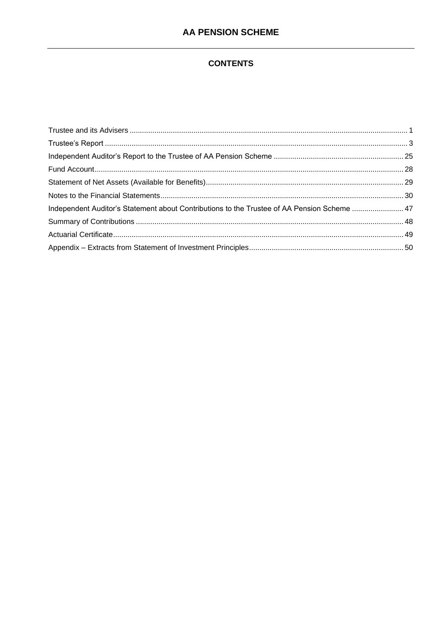# **CONTENTS**

| Independent Auditor's Statement about Contributions to the Trustee of AA Pension Scheme  47 |  |
|---------------------------------------------------------------------------------------------|--|
|                                                                                             |  |
|                                                                                             |  |
|                                                                                             |  |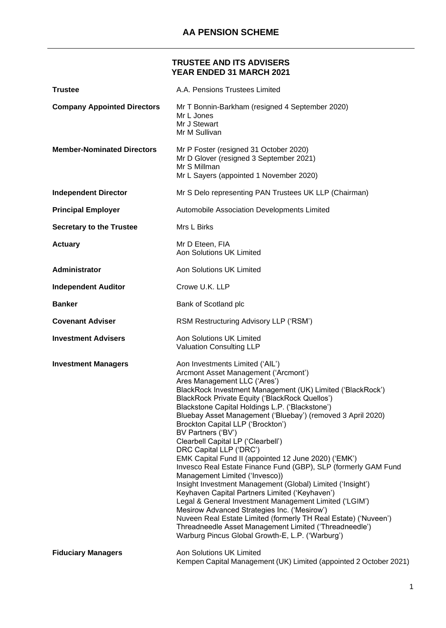# **TRUSTEE AND ITS ADVISERS YEAR ENDED 31 MARCH 2021**

<span id="page-2-0"></span>

| <b>Trustee</b>                     | A.A. Pensions Trustees Limited                                                                                                                                                                                                                                                                                                                                                                                                                                                                                                                                                                                                                                                                                                                                                                                                                                                                                                                                                                                                               |
|------------------------------------|----------------------------------------------------------------------------------------------------------------------------------------------------------------------------------------------------------------------------------------------------------------------------------------------------------------------------------------------------------------------------------------------------------------------------------------------------------------------------------------------------------------------------------------------------------------------------------------------------------------------------------------------------------------------------------------------------------------------------------------------------------------------------------------------------------------------------------------------------------------------------------------------------------------------------------------------------------------------------------------------------------------------------------------------|
| <b>Company Appointed Directors</b> | Mr T Bonnin-Barkham (resigned 4 September 2020)<br>Mr L Jones<br>Mr J Stewart<br>Mr M Sullivan                                                                                                                                                                                                                                                                                                                                                                                                                                                                                                                                                                                                                                                                                                                                                                                                                                                                                                                                               |
| <b>Member-Nominated Directors</b>  | Mr P Foster (resigned 31 October 2020)<br>Mr D Glover (resigned 3 September 2021)<br>Mr S Millman<br>Mr L Sayers (appointed 1 November 2020)                                                                                                                                                                                                                                                                                                                                                                                                                                                                                                                                                                                                                                                                                                                                                                                                                                                                                                 |
| <b>Independent Director</b>        | Mr S Delo representing PAN Trustees UK LLP (Chairman)                                                                                                                                                                                                                                                                                                                                                                                                                                                                                                                                                                                                                                                                                                                                                                                                                                                                                                                                                                                        |
| <b>Principal Employer</b>          | Automobile Association Developments Limited                                                                                                                                                                                                                                                                                                                                                                                                                                                                                                                                                                                                                                                                                                                                                                                                                                                                                                                                                                                                  |
| <b>Secretary to the Trustee</b>    | Mrs L Birks                                                                                                                                                                                                                                                                                                                                                                                                                                                                                                                                                                                                                                                                                                                                                                                                                                                                                                                                                                                                                                  |
| <b>Actuary</b>                     | Mr D Eteen, FIA<br><b>Aon Solutions UK Limited</b>                                                                                                                                                                                                                                                                                                                                                                                                                                                                                                                                                                                                                                                                                                                                                                                                                                                                                                                                                                                           |
| Administrator                      | Aon Solutions UK Limited                                                                                                                                                                                                                                                                                                                                                                                                                                                                                                                                                                                                                                                                                                                                                                                                                                                                                                                                                                                                                     |
| <b>Independent Auditor</b>         | Crowe U.K. LLP                                                                                                                                                                                                                                                                                                                                                                                                                                                                                                                                                                                                                                                                                                                                                                                                                                                                                                                                                                                                                               |
| <b>Banker</b>                      | Bank of Scotland plc                                                                                                                                                                                                                                                                                                                                                                                                                                                                                                                                                                                                                                                                                                                                                                                                                                                                                                                                                                                                                         |
| <b>Covenant Adviser</b>            | RSM Restructuring Advisory LLP ('RSM')                                                                                                                                                                                                                                                                                                                                                                                                                                                                                                                                                                                                                                                                                                                                                                                                                                                                                                                                                                                                       |
| <b>Investment Advisers</b>         | Aon Solutions UK Limited<br><b>Valuation Consulting LLP</b>                                                                                                                                                                                                                                                                                                                                                                                                                                                                                                                                                                                                                                                                                                                                                                                                                                                                                                                                                                                  |
| <b>Investment Managers</b>         | Aon Investments Limited ('AIL')<br>Arcmont Asset Management ('Arcmont')<br>Ares Management LLC ('Ares')<br>BlackRock Investment Management (UK) Limited ('BlackRock')<br>BlackRock Private Equity ('BlackRock Quellos')<br>Blackstone Capital Holdings L.P. ('Blackstone')<br>Bluebay Asset Management ('Bluebay') (removed 3 April 2020)<br>Brockton Capital LLP ('Brockton')<br>BV Partners ('BV')<br>Clearbell Capital LP ('Clearbell')<br>DRC Capital LLP ('DRC')<br>EMK Capital Fund II (appointed 12 June 2020) ('EMK')<br>Invesco Real Estate Finance Fund (GBP), SLP (formerly GAM Fund<br>Management Limited ('Invesco))<br>Insight Investment Management (Global) Limited ('Insight')<br>Keyhaven Capital Partners Limited ('Keyhaven')<br>Legal & General Investment Management Limited ('LGIM')<br>Mesirow Advanced Strategies Inc. ('Mesirow')<br>Nuveen Real Estate Limited (formerly TH Real Estate) ('Nuveen')<br>Threadneedle Asset Management Limited ('Threadneedle')<br>Warburg Pincus Global Growth-E, L.P. ('Warburg') |
| <b>Fiduciary Managers</b>          | Aon Solutions UK Limited<br>Kempen Capital Management (UK) Limited (appointed 2 October 2021)                                                                                                                                                                                                                                                                                                                                                                                                                                                                                                                                                                                                                                                                                                                                                                                                                                                                                                                                                |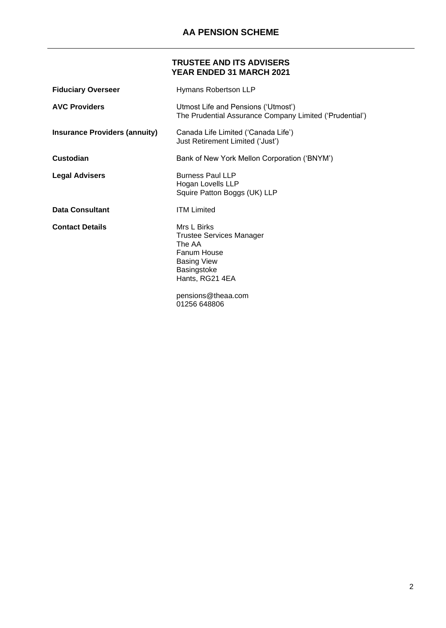# **TRUSTEE AND ITS ADVISERS YEAR ENDED 31 MARCH 2021**

| <b>Fiduciary Overseer</b>            | Hymans Robertson LLP                                                                                                                                           |
|--------------------------------------|----------------------------------------------------------------------------------------------------------------------------------------------------------------|
| <b>AVC Providers</b>                 | Utmost Life and Pensions ('Utmost')<br>The Prudential Assurance Company Limited ('Prudential')                                                                 |
| <b>Insurance Providers (annuity)</b> | Canada Life Limited ('Canada Life')<br>Just Retirement Limited ('Just')                                                                                        |
| Custodian                            | Bank of New York Mellon Corporation ('BNYM')                                                                                                                   |
| <b>Legal Advisers</b>                | <b>Burness Paul LLP</b><br>Hogan Lovells LLP<br>Squire Patton Boggs (UK) LLP                                                                                   |
| <b>Data Consultant</b>               | <b>ITM Limited</b>                                                                                                                                             |
| <b>Contact Details</b>               | Mrs L Birks<br>Trustee Services Manager<br>The AA<br>Fanum House<br><b>Basing View</b><br>Basingstoke<br>Hants, RG21 4EA<br>pensions@theaa.com<br>01256 648806 |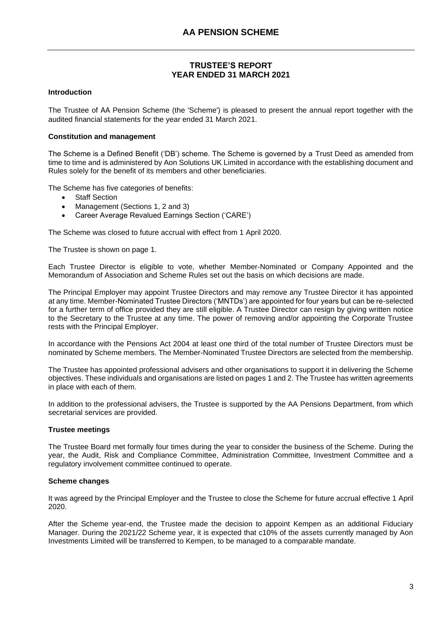#### <span id="page-4-0"></span>**Introduction**

The Trustee of AA Pension Scheme (the 'Scheme') is pleased to present the annual report together with the audited financial statements for the year ended 31 March 2021.

#### **Constitution and management**

The Scheme is a Defined Benefit ('DB') scheme. The Scheme is governed by a Trust Deed as amended from time to time and is administered by Aon Solutions UK Limited in accordance with the establishing document and Rules solely for the benefit of its members and other beneficiaries.

The Scheme has five categories of benefits:

- Staff Section
- Management (Sections 1, 2 and 3)
- Career Average Revalued Earnings Section ('CARE')

The Scheme was closed to future accrual with effect from 1 April 2020.

The Trustee is shown on page 1.

Each Trustee Director is eligible to vote, whether Member-Nominated or Company Appointed and the Memorandum of Association and Scheme Rules set out the basis on which decisions are made.

The Principal Employer may appoint Trustee Directors and may remove any Trustee Director it has appointed at any time. Member-Nominated Trustee Directors ('MNTDs') are appointed for four years but can be re-selected for a further term of office provided they are still eligible. A Trustee Director can resign by giving written notice to the Secretary to the Trustee at any time. The power of removing and/or appointing the Corporate Trustee rests with the Principal Employer.

In accordance with the Pensions Act 2004 at least one third of the total number of Trustee Directors must be nominated by Scheme members. The Member-Nominated Trustee Directors are selected from the membership.

The Trustee has appointed professional advisers and other organisations to support it in delivering the Scheme objectives. These individuals and organisations are listed on pages 1 and 2. The Trustee has written agreements in place with each of them.

In addition to the professional advisers, the Trustee is supported by the AA Pensions Department, from which secretarial services are provided.

# **Trustee meetings**

The Trustee Board met formally four times during the year to consider the business of the Scheme. During the year, the Audit, Risk and Compliance Committee, Administration Committee, Investment Committee and a regulatory involvement committee continued to operate.

# **Scheme changes**

It was agreed by the Principal Employer and the Trustee to close the Scheme for future accrual effective 1 April 2020.

After the Scheme year-end, the Trustee made the decision to appoint Kempen as an additional Fiduciary Manager. During the 2021/22 Scheme year, it is expected that c10% of the assets currently managed by Aon Investments Limited will be transferred to Kempen, to be managed to a comparable mandate.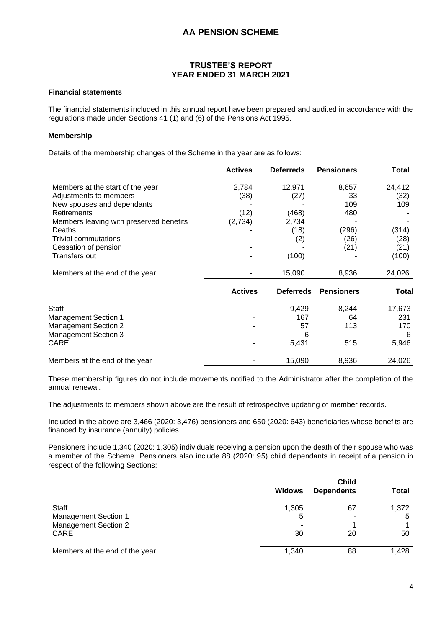#### **Financial statements**

The financial statements included in this annual report have been prepared and audited in accordance with the regulations made under Sections 41 (1) and (6) of the Pensions Act 1995.

#### **Membership**

Details of the membership changes of the Scheme in the year are as follows:

|                                         | <b>Actives</b> | <b>Deferreds</b> | <b>Pensioners</b> | <b>Total</b> |
|-----------------------------------------|----------------|------------------|-------------------|--------------|
| Members at the start of the year        | 2,784          | 12,971           | 8,657             | 24,412       |
| Adjustments to members                  | (38)           | (27)             | 33                | (32)         |
| New spouses and dependants              |                |                  | 109               | 109          |
| <b>Retirements</b>                      | (12)           | (468)            | 480               |              |
| Members leaving with preserved benefits | (2,734)        | 2,734            |                   |              |
| Deaths                                  |                | (18)             | (296)             | (314)        |
| Trivial commutations                    |                | (2)              | (26)              | (28)         |
| Cessation of pension                    |                |                  | (21)              | (21)         |
| Transfers out                           |                | (100)            |                   | (100)        |
| Members at the end of the year          |                | 15,090           | 8,936             | 24,026       |
|                                         | <b>Actives</b> | <b>Deferreds</b> | <b>Pensioners</b> | Total        |
| <b>Staff</b>                            |                | 9,429            | 8,244             | 17,673       |
| <b>Management Section 1</b>             |                | 167              | 64                | 231          |
| <b>Management Section 2</b>             |                | 57               | 113               | 170          |
| <b>Management Section 3</b>             |                | 6                |                   | 6            |
| CARE                                    |                | 5,431            | 515               | 5,946        |
| Members at the end of the year          |                | 15,090           | 8,936             | 24,026       |

These membership figures do not include movements notified to the Administrator after the completion of the annual renewal.

The adjustments to members shown above are the result of retrospective updating of member records.

Included in the above are 3,466 (2020: 3,476) pensioners and 650 (2020: 643) beneficiaries whose benefits are financed by insurance (annuity) policies.

Pensioners include 1,340 (2020: 1,305) individuals receiving a pension upon the death of their spouse who was a member of the Scheme. Pensioners also include 88 (2020: 95) child dependants in receipt of a pension in respect of the following Sections:

|                                | <b>Child</b>  |                   |       |
|--------------------------------|---------------|-------------------|-------|
|                                | <b>Widows</b> | <b>Dependents</b> | Total |
| <b>Staff</b>                   | 1,305         | 67                | 1,372 |
| <b>Management Section 1</b>    | 5             |                   | 5     |
| <b>Management Section 2</b>    |               |                   |       |
| <b>CARE</b>                    | 30            | 20                | 50    |
| Members at the end of the year | 1.340         | 88                | 1.428 |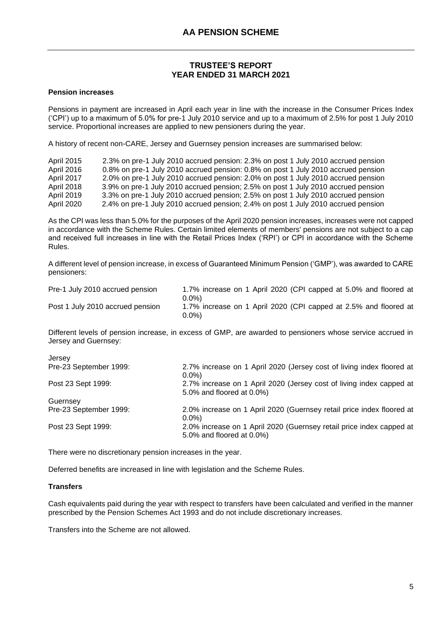#### **Pension increases**

Pensions in payment are increased in April each year in line with the increase in the Consumer Prices Index ('CPI') up to a maximum of 5.0% for pre-1 July 2010 service and up to a maximum of 2.5% for post 1 July 2010 service. Proportional increases are applied to new pensioners during the year.

A history of recent non-CARE, Jersey and Guernsey pension increases are summarised below:

| April 2015 | 2.3% on pre-1 July 2010 accrued pension: 2.3% on post 1 July 2010 accrued pension |
|------------|-----------------------------------------------------------------------------------|
| April 2016 | 0.8% on pre-1 July 2010 accrued pension: 0.8% on post 1 July 2010 accrued pension |
| April 2017 | 2.0% on pre-1 July 2010 accrued pension: 2.0% on post 1 July 2010 accrued pension |
| April 2018 | 3.9% on pre-1 July 2010 accrued pension; 2.5% on post 1 July 2010 accrued pension |
| April 2019 | 3.3% on pre-1 July 2010 accrued pension; 2.5% on post 1 July 2010 accrued pension |
| April 2020 | 2.4% on pre-1 July 2010 accrued pension; 2.4% on post 1 July 2010 accrued pension |

As the CPI was less than 5.0% for the purposes of the April 2020 pension increases, increases were not capped in accordance with the Scheme Rules. Certain limited elements of members' pensions are not subject to a cap and received full increases in line with the Retail Prices Index ('RPI') or CPI in accordance with the Scheme Rules.

A different level of pension increase, in excess of Guaranteed Minimum Pension ('GMP'), was awarded to CARE pensioners:

| Pre-1 July 2010 accrued pension  | 1.7% increase on 1 April 2020 (CPI capped at 5.0% and floored at<br>0.0%) |
|----------------------------------|---------------------------------------------------------------------------|
| Post 1 July 2010 accrued pension | 1.7% increase on 1 April 2020 (CPI capped at 2.5% and floored at<br>0.0%) |

Different levels of pension increase, in excess of GMP, are awarded to pensioners whose service accrued in Jersey and Guernsey:

| Jersey                 |                                                                                                   |
|------------------------|---------------------------------------------------------------------------------------------------|
| Pre-23 September 1999: | 2.7% increase on 1 April 2020 (Jersey cost of living index floored at<br>$0.0\%$                  |
| Post 23 Sept 1999:     | 2.7% increase on 1 April 2020 (Jersey cost of living index capped at<br>5.0% and floored at 0.0%) |
| Guernsey               |                                                                                                   |
| Pre-23 September 1999: | 2.0% increase on 1 April 2020 (Guernsey retail price index floored at<br>$0.0\%$                  |
| Post 23 Sept 1999:     | 2.0% increase on 1 April 2020 (Guernsey retail price index capped at<br>5.0% and floored at 0.0%) |

There were no discretionary pension increases in the year.

Deferred benefits are increased in line with legislation and the Scheme Rules.

#### **Transfers**

Cash equivalents paid during the year with respect to transfers have been calculated and verified in the manner prescribed by the Pension Schemes Act 1993 and do not include discretionary increases.

Transfers into the Scheme are not allowed.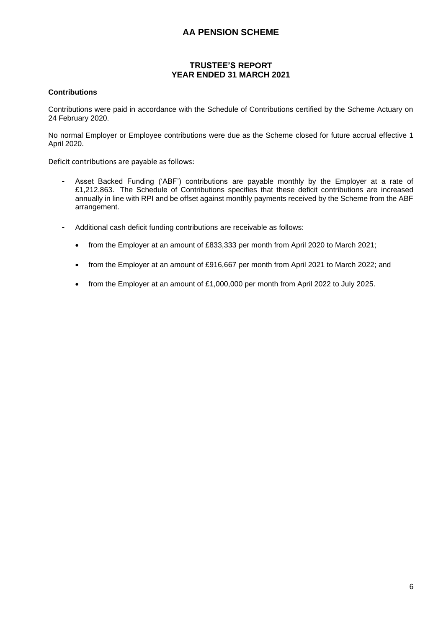#### **Contributions**

Contributions were paid in accordance with the Schedule of Contributions certified by the Scheme Actuary on 24 February 2020.

No normal Employer or Employee contributions were due as the Scheme closed for future accrual effective 1 April 2020.

Deficit contributions are payable as follows:

- Asset Backed Funding ('ABF') contributions are payable monthly by the Employer at a rate of £1,212,863. The Schedule of Contributions specifies that these deficit contributions are increased annually in line with RPI and be offset against monthly payments received by the Scheme from the ABF arrangement.
- Additional cash deficit funding contributions are receivable as follows:
	- from the Employer at an amount of £833,333 per month from April 2020 to March 2021;
	- from the Employer at an amount of £916,667 per month from April 2021 to March 2022; and
	- from the Employer at an amount of £1,000,000 per month from April 2022 to July 2025.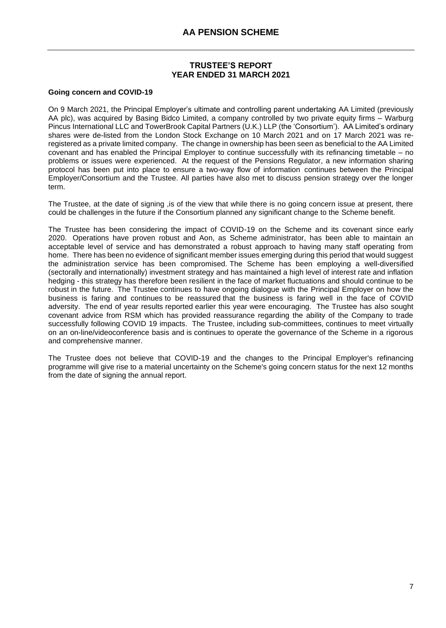#### **Going concern and COVID-19**

On 9 March 2021, the Principal Employer's ultimate and controlling parent undertaking AA Limited (previously AA plc), was acquired by Basing Bidco Limited, a company controlled by two private equity firms – Warburg Pincus International LLC and TowerBrook Capital Partners (U.K.) LLP (the 'Consortium'). AA Limited's ordinary shares were de-listed from the London Stock Exchange on 10 March 2021 and on 17 March 2021 was reregistered as a private limited company. The change in ownership has been seen as beneficial to the AA Limited covenant and has enabled the Principal Employer to continue successfully with its refinancing timetable – no problems or issues were experienced. At the request of the Pensions Regulator, a new information sharing protocol has been put into place to ensure a two-way flow of information continues between the Principal Employer/Consortium and the Trustee. All parties have also met to discuss pension strategy over the longer term.

The Trustee, at the date of signing , is of the view that while there is no going concern issue at present, there could be challenges in the future if the Consortium planned any significant change to the Scheme benefit.

The Trustee has been considering the impact of COVID-19 on the Scheme and its covenant since early 2020. Operations have proven robust and Aon, as Scheme administrator, has been able to maintain an acceptable level of service and has demonstrated a robust approach to having many staff operating from home. There has been no evidence of significant member issues emerging during this period that would suggest the administration service has been compromised. The Scheme has been employing a well-diversified (sectorally and internationally) investment strategy and has maintained a high level of interest rate and inflation hedging - this strategy has therefore been resilient in the face of market fluctuations and should continue to be robust in the future. The Trustee continues to have ongoing dialogue with the Principal Employer on how the business is faring and continues to be reassured that the business is faring well in the face of COVID adversity. The end of year results reported earlier this year were encouraging. The Trustee has also sought covenant advice from RSM which has provided reassurance regarding the ability of the Company to trade successfully following COVID 19 impacts. The Trustee, including sub-committees, continues to meet virtually on an on-line/videoconference basis and is continues to operate the governance of the Scheme in a rigorous and comprehensive manner.

The Trustee does not believe that COVID-19 and the changes to the Principal Employer's refinancing programme will give rise to a material uncertainty on the Scheme's going concern status for the next 12 months from the date of signing the annual report.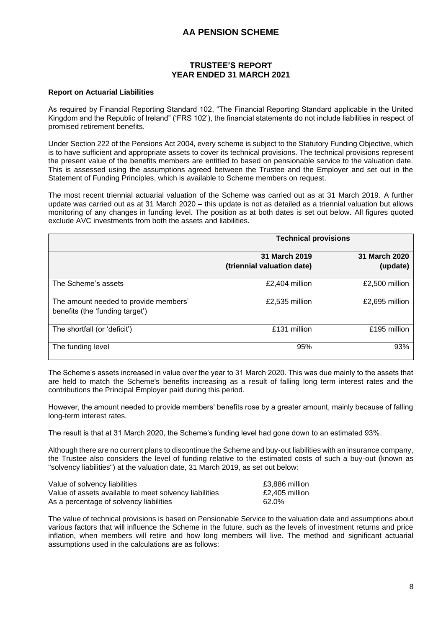#### **Report on Actuarial Liabilities**

As required by Financial Reporting Standard 102, "The Financial Reporting Standard applicable in the United Kingdom and the Republic of Ireland" ('FRS 102'), the financial statements do not include liabilities in respect of promised retirement benefits.

Under Section 222 of the Pensions Act 2004, every scheme is subject to the Statutory Funding Objective, which is to have sufficient and appropriate assets to cover its technical provisions. The technical provisions represent the present value of the benefits members are entitled to based on pensionable service to the valuation date. This is assessed using the assumptions agreed between the Trustee and the Employer and set out in the Statement of Funding Principles, which is available to Scheme members on request.

The most recent triennial actuarial valuation of the Scheme was carried out as at 31 March 2019. A further update was carried out as at 31 March 2020 – this update is not as detailed as a triennial valuation but allows monitoring of any changes in funding level. The position as at both dates is set out below. All figures quoted exclude AVC investments from both the assets and liabilities.

|                                                                          | <b>Technical provisions</b>                 |                           |
|--------------------------------------------------------------------------|---------------------------------------------|---------------------------|
|                                                                          | 31 March 2019<br>(triennial valuation date) | 31 March 2020<br>(update) |
| The Scheme's assets                                                      | £2,404 million                              | £2,500 million            |
| The amount needed to provide members'<br>benefits (the 'funding target') | £2,535 million                              | £2,695 million            |
| The shortfall (or 'deficit')                                             | £131 million                                | £195 million              |
| The funding level                                                        | 95%                                         | 93%                       |

The Scheme's assets increased in value over the year to 31 March 2020. This was due mainly to the assets that are held to match the Scheme's benefits increasing as a result of falling long term interest rates and the contributions the Principal Employer paid during this period.

However, the amount needed to provide members' benefits rose by a greater amount, mainly because of falling long-term interest rates.

The result is that at 31 March 2020, the Scheme's funding level had gone down to an estimated 93%.

Although there are no current plans to discontinue the Scheme and buy-out liabilities with an insurance company, the Trustee also considers the level of funding relative to the estimated costs of such a buy-out (known as "solvency liabilities") at the valuation date, 31 March 2019, as set out below:

| Value of solvency liabilities                          | £3,886 million |
|--------------------------------------------------------|----------------|
| Value of assets available to meet solvency liabilities | £2.405 million |
| As a percentage of solvency liabilities                | 62.0%          |

The value of technical provisions is based on Pensionable Service to the valuation date and assumptions about various factors that will influence the Scheme in the future, such as the levels of investment returns and price inflation, when members will retire and how long members will live. The method and significant actuarial assumptions used in the calculations are as follows: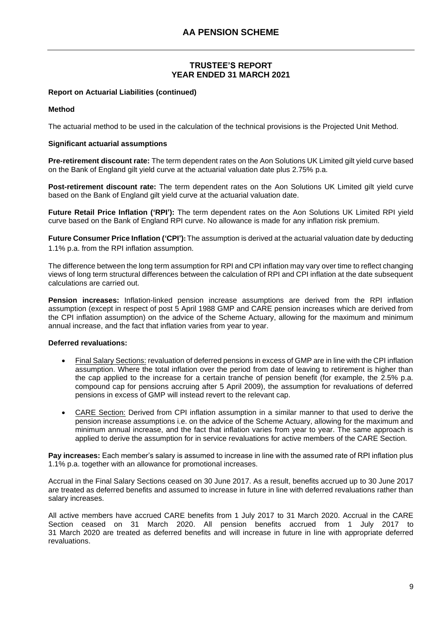#### **Report on Actuarial Liabilities (continued)**

#### **Method**

The actuarial method to be used in the calculation of the technical provisions is the Projected Unit Method.

#### **Significant actuarial assumptions**

**Pre-retirement discount rate:** The term dependent rates on the Aon Solutions UK Limited gilt yield curve based on the Bank of England gilt yield curve at the actuarial valuation date plus 2.75% p.a.

**Post-retirement discount rate:** The term dependent rates on the Aon Solutions UK Limited gilt yield curve based on the Bank of England gilt yield curve at the actuarial valuation date.

**Future Retail Price Inflation ('RPI'):** The term dependent rates on the Aon Solutions UK Limited RPI yield curve based on the Bank of England RPI curve. No allowance is made for any inflation risk premium.

**Future Consumer Price Inflation ('CPI'):** The assumption is derived at the actuarial valuation date by deducting 1.1% p.a. from the RPI inflation assumption.

The difference between the long term assumption for RPI and CPI inflation may vary over time to reflect changing views of long term structural differences between the calculation of RPI and CPI inflation at the date subsequent calculations are carried out.

**Pension increases:** Inflation-linked pension increase assumptions are derived from the RPI inflation assumption (except in respect of post 5 April 1988 GMP and CARE pension increases which are derived from the CPI inflation assumption) on the advice of the Scheme Actuary, allowing for the maximum and minimum annual increase, and the fact that inflation varies from year to year.

# **Deferred revaluations:**

- Final Salary Sections: revaluation of deferred pensions in excess of GMP are in line with the CPI inflation assumption. Where the total inflation over the period from date of leaving to retirement is higher than the cap applied to the increase for a certain tranche of pension benefit (for example, the 2.5% p.a. compound cap for pensions accruing after 5 April 2009), the assumption for revaluations of deferred pensions in excess of GMP will instead revert to the relevant cap.
- CARE Section: Derived from CPI inflation assumption in a similar manner to that used to derive the pension increase assumptions i.e. on the advice of the Scheme Actuary, allowing for the maximum and minimum annual increase, and the fact that inflation varies from year to year. The same approach is applied to derive the assumption for in service revaluations for active members of the CARE Section.

**Pay increases:** Each member's salary is assumed to increase in line with the assumed rate of RPI inflation plus 1.1% p.a. together with an allowance for promotional increases.

Accrual in the Final Salary Sections ceased on 30 June 2017. As a result, benefits accrued up to 30 June 2017 are treated as deferred benefits and assumed to increase in future in line with deferred revaluations rather than salary increases.

All active members have accrued CARE benefits from 1 July 2017 to 31 March 2020. Accrual in the CARE Section ceased on 31 March 2020. All pension benefits accrued from 1 July 2017 to 31 March 2020 are treated as deferred benefits and will increase in future in line with appropriate deferred revaluations.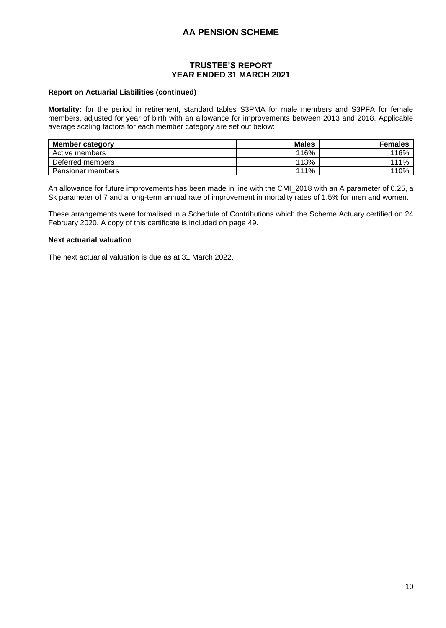#### **Report on Actuarial Liabilities (continued)**

**Mortality:** for the period in retirement, standard tables S3PMA for male members and S3PFA for female members, adjusted for year of birth with an allowance for improvements between 2013 and 2018. Applicable average scaling factors for each member category are set out below:

| <b>Member category</b> | <b>Males</b> | <b>Females</b> |
|------------------------|--------------|----------------|
| Active members         | 116%         | 116%           |
| Deferred members       | 113%         | 111%           |
| Pensioner members      | 111%         | 110%           |

An allowance for future improvements has been made in line with the CMI\_2018 with an A parameter of 0.25, a Sk parameter of 7 and a long-term annual rate of improvement in mortality rates of 1.5% for men and women.

These arrangements were formalised in a Schedule of Contributions which the Scheme Actuary certified on 24 February 2020. A copy of this certificate is included on page 49.

#### **Next actuarial valuation**

The next actuarial valuation is due as at 31 March 2022.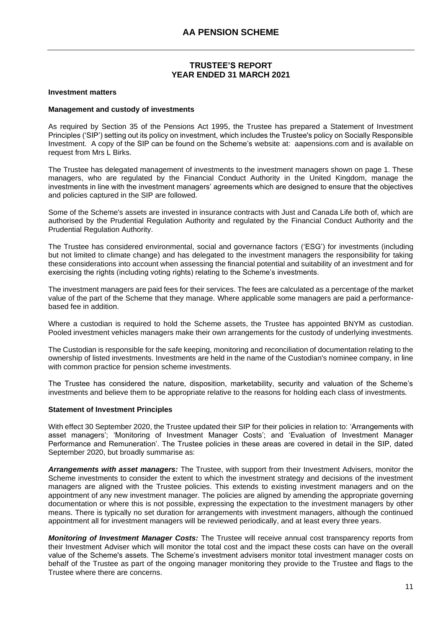#### **Investment matters**

#### **Management and custody of investments**

As required by Section 35 of the Pensions Act 1995, the Trustee has prepared a Statement of Investment Principles ('SIP') setting out its policy on investment, which includes the Trustee's policy on Socially Responsible Investment. A copy of the SIP can be found on the Scheme's website at: [aapensions.com](https://aapensions.com/document-library/financial-information) and is available on request from Mrs L Birks.

The Trustee has delegated management of investments to the investment managers shown on page 1. These managers, who are regulated by the Financial Conduct Authority in the United Kingdom, manage the investments in line with the investment managers' agreements which are designed to ensure that the objectives and policies captured in the SIP are followed.

Some of the Scheme's assets are invested in insurance contracts with Just and Canada Life both of, which are authorised by the Prudential Regulation Authority and regulated by the Financial Conduct Authority and the Prudential Regulation Authority.

The Trustee has considered environmental, social and governance factors ('ESG') for investments (including but not limited to climate change) and has delegated to the investment managers the responsibility for taking these considerations into account when assessing the financial potential and suitability of an investment and for exercising the rights (including voting rights) relating to the Scheme's investments.

The investment managers are paid fees for their services. The fees are calculated as a percentage of the market value of the part of the Scheme that they manage. Where applicable some managers are paid a performancebased fee in addition.

Where a custodian is required to hold the Scheme assets, the Trustee has appointed BNYM as custodian. Pooled investment vehicles managers make their own arrangements for the custody of underlying investments.

The Custodian is responsible for the safe keeping, monitoring and reconciliation of documentation relating to the ownership of listed investments. Investments are held in the name of the Custodian's nominee company, in line with common practice for pension scheme investments.

The Trustee has considered the nature, disposition, marketability, security and valuation of the Scheme's investments and believe them to be appropriate relative to the reasons for holding each class of investments.

#### **Statement of Investment Principles**

With effect 30 September 2020, the Trustee updated their SIP for their policies in relation to: 'Arrangements with asset managers'; 'Monitoring of Investment Manager Costs'; and 'Evaluation of Investment Manager Performance and Remuneration'. The Trustee policies in these areas are covered in detail in the SIP, dated September 2020, but broadly summarise as:

*Arrangements with asset managers:* The Trustee, with support from their Investment Advisers, monitor the Scheme investments to consider the extent to which the investment strategy and decisions of the investment managers are aligned with the Trustee policies. This extends to existing investment managers and on the appointment of any new investment manager. The policies are aligned by amending the appropriate governing documentation or where this is not possible, expressing the expectation to the investment managers by other means. There is typically no set duration for arrangements with investment managers, although the continued appointment all for investment managers will be reviewed periodically, and at least every three years.

*Monitoring of Investment Manager Costs:* The Trustee will receive annual cost transparency reports from their Investment Adviser which will monitor the total cost and the impact these costs can have on the overall value of the Scheme's assets. The Scheme's investment advisers monitor total investment manager costs on behalf of the Trustee as part of the ongoing manager monitoring they provide to the Trustee and flags to the Trustee where there are concerns.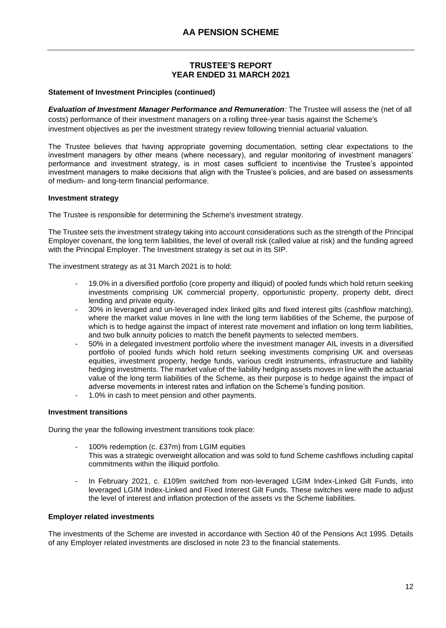#### **Statement of Investment Principles (continued)**

*Evaluation of Investment Manager Performance and Remuneration:* The Trustee will assess the (net of all costs) performance of their investment managers on a rolling three-year basis against the Scheme's investment objectives as per the investment strategy review following triennial actuarial valuation.

The Trustee believes that having appropriate governing documentation, setting clear expectations to the investment managers by other means (where necessary), and regular monitoring of investment managers' performance and investment strategy, is in most cases sufficient to incentivise the Trustee's appointed investment managers to make decisions that align with the Trustee's policies, and are based on assessments of medium- and long-term financial performance.

#### **Investment strategy**

The Trustee is responsible for determining the Scheme's investment strategy.

The Trustee sets the investment strategy taking into account considerations such as the strength of the Principal Employer covenant, the long term liabilities, the level of overall risk (called value at risk) and the funding agreed with the Principal Employer. The Investment strategy is set out in its SIP.

The investment strategy as at 31 March 2021 is to hold:

- 19.0% in a diversified portfolio (core property and illiquid) of pooled funds which hold return seeking investments comprising UK commercial property, opportunistic property, property debt, direct lending and private equity.
- 30% in leveraged and un-leveraged index linked gilts and fixed interest gilts (cashflow matching), where the market value moves in line with the long term liabilities of the Scheme, the purpose of which is to hedge against the impact of interest rate movement and inflation on long term liabilities, and two bulk annuity policies to match the benefit payments to selected members.
- 50% in a delegated investment portfolio where the investment manager AIL invests in a diversified portfolio of pooled funds which hold return seeking investments comprising UK and overseas equities, investment property, hedge funds, various credit instruments, infrastructure and liability hedging investments. The market value of the liability hedging assets moves in line with the actuarial value of the long term liabilities of the Scheme, as their purpose is to hedge against the impact of adverse movements in interest rates and inflation on the Scheme's funding position.
- 1.0% in cash to meet pension and other payments.

# **Investment transitions**

During the year the following investment transitions took place:

- 100% redemption (c. £37m) from LGIM equities This was a strategic overweight allocation and was sold to fund Scheme cashflows including capital commitments within the illiquid portfolio.
- In February 2021, c. £109m switched from non-leveraged LGIM Index-Linked Gilt Funds, into leveraged LGIM Index-Linked and Fixed Interest Gilt Funds. These switches were made to adjust the level of interest and inflation protection of the assets vs the Scheme liabilities.

#### **Employer related investments**

The investments of the Scheme are invested in accordance with Section 40 of the Pensions Act 1995. Details of any Employer related investments are disclosed in note 23 to the financial statements.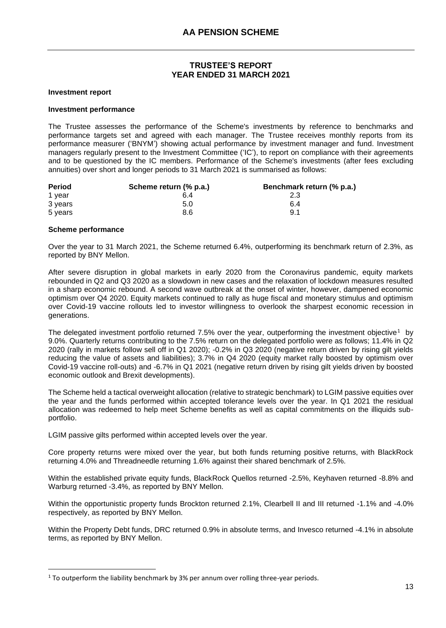#### **Investment report**

#### **Investment performance**

The Trustee assesses the performance of the Scheme's investments by reference to benchmarks and performance targets set and agreed with each manager. The Trustee receives monthly reports from its performance measurer ('BNYM') showing actual performance by investment manager and fund. Investment managers regularly present to the Investment Committee ('IC'), to report on compliance with their agreements and to be questioned by the IC members. Performance of the Scheme's investments (after fees excluding annuities) over short and longer periods to 31 March 2021 is summarised as follows:

| <b>Period</b> | Scheme return (% p.a.) | Benchmark return (% p.a.) |
|---------------|------------------------|---------------------------|
| 1 year        | 6.4                    | 2.3                       |
| 3 years       | 5.0                    | 6.4                       |
| 5 years       | 8.6                    | 9.1                       |

#### **Scheme performance**

Over the year to 31 March 2021, the Scheme returned 6.4%, outperforming its benchmark return of 2.3%, as reported by BNY Mellon.

After severe disruption in global markets in early 2020 from the Coronavirus pandemic, equity markets rebounded in Q2 and Q3 2020 as a slowdown in new cases and the relaxation of lockdown measures resulted in a sharp economic rebound. A second wave outbreak at the onset of winter, however, dampened economic optimism over Q4 2020. Equity markets continued to rally as huge fiscal and monetary stimulus and optimism over Covid-19 vaccine rollouts led to investor willingness to overlook the sharpest economic recession in generations.

The delegated investment portfolio returned 7.5% over the year, outperforming the investment objective<sup>1</sup> by 9.0%. Quarterly returns contributing to the 7.5% return on the delegated portfolio were as follows; 11.4% in Q2 2020 (rally in markets follow sell off in Q1 2020); -0.2% in Q3 2020 (negative return driven by rising gilt yields reducing the value of assets and liabilities); 3.7% in Q4 2020 (equity market rally boosted by optimism over Covid-19 vaccine roll-outs) and -6.7% in Q1 2021 (negative return driven by rising gilt yields driven by boosted economic outlook and Brexit developments).

The Scheme held a tactical overweight allocation (relative to strategic benchmark) to LGIM passive equities over the year and the funds performed within accepted tolerance levels over the year. In Q1 2021 the residual allocation was redeemed to help meet Scheme benefits as well as capital commitments on the illiquids subportfolio.

LGIM passive gilts performed within accepted levels over the year.

Core property returns were mixed over the year, but both funds returning positive returns, with BlackRock returning 4.0% and Threadneedle returning 1.6% against their shared benchmark of 2.5%.

Within the established private equity funds, BlackRock Quellos returned -2.5%, Keyhaven returned -8.8% and Warburg returned -3.4%, as reported by BNY Mellon.

Within the opportunistic property funds Brockton returned 2.1%, Clearbell II and III returned -1.1% and -4.0% respectively, as reported by BNY Mellon.

Within the Property Debt funds, DRC returned 0.9% in absolute terms, and Invesco returned -4.1% in absolute terms, as reported by BNY Mellon.

 $1$  To outperform the liability benchmark by 3% per annum over rolling three-year periods.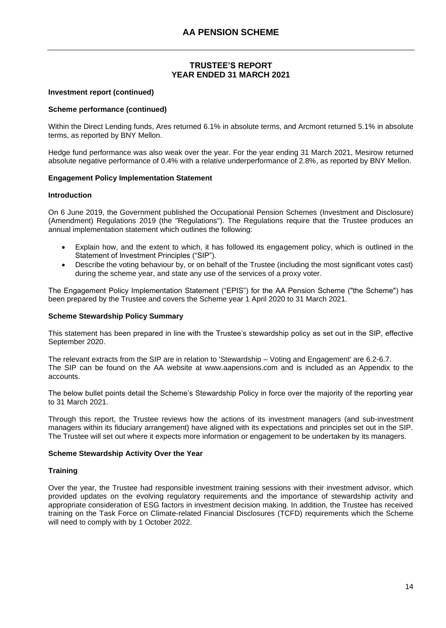#### **Investment report (continued)**

#### **Scheme performance (continued)**

Within the Direct Lending funds, Ares returned 6.1% in absolute terms, and Arcmont returned 5.1% in absolute terms, as reported by BNY Mellon.

Hedge fund performance was also weak over the year. For the year ending 31 March 2021, Mesirow returned absolute negative performance of 0.4% with a relative underperformance of 2.8%, as reported by BNY Mellon.

#### **Engagement Policy Implementation Statement**

#### **Introduction**

On 6 June 2019, the Government published the Occupational Pension Schemes (Investment and Disclosure) (Amendment) Regulations 2019 (the "Regulations"). The Regulations require that the Trustee produces an annual implementation statement which outlines the following:

- Explain how, and the extent to which, it has followed its engagement policy, which is outlined in the Statement of Investment Principles ("SIP").
- Describe the voting behaviour by, or on behalf of the Trustee (including the most significant votes cast) during the scheme year, and state any use of the services of a proxy voter.

The Engagement Policy Implementation Statement ("EPIS") for the AA Pension Scheme ("the Scheme") has been prepared by the Trustee and covers the Scheme year 1 April 2020 to 31 March 2021.

#### **Scheme Stewardship Policy Summary**

This statement has been prepared in line with the Trustee's stewardship policy as set out in the SIP, effective September 2020.

The relevant extracts from the SIP are in relation to 'Stewardship – Voting and Engagement' are 6.2-6.7. The SIP can be found on the AA website at www.aapensions.com and is included as an Appendix to the accounts.

The below bullet points detail the Scheme's Stewardship Policy in force over the majority of the reporting year to 31 March 2021.

Through this report, the Trustee reviews how the actions of its investment managers (and sub-investment managers within its fiduciary arrangement) have aligned with its expectations and principles set out in the SIP. The Trustee will set out where it expects more information or engagement to be undertaken by its managers.

#### **Scheme Stewardship Activity Over the Year**

#### **Training**

Over the year, the Trustee had responsible investment training sessions with their investment advisor, which provided updates on the evolving regulatory requirements and the importance of stewardship activity and appropriate consideration of ESG factors in investment decision making. In addition, the Trustee has received training on the Task Force on Climate-related Financial Disclosures (TCFD) requirements which the Scheme will need to comply with by 1 October 2022.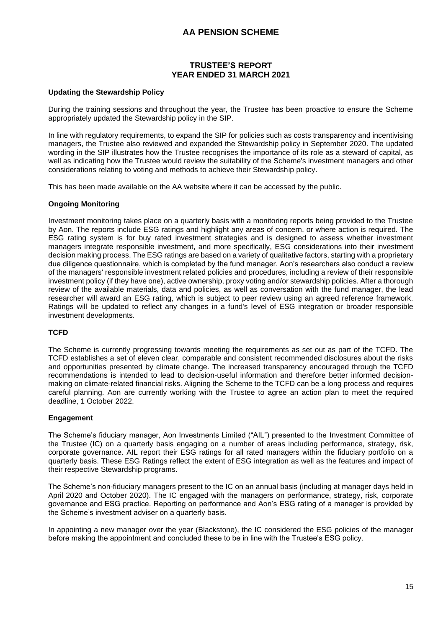#### **Updating the Stewardship Policy**

During the training sessions and throughout the year, the Trustee has been proactive to ensure the Scheme appropriately updated the Stewardship policy in the SIP.

In line with regulatory requirements, to expand the SIP for policies such as costs transparency and incentivising managers, the Trustee also reviewed and expanded the Stewardship policy in September 2020. The updated wording in the SIP illustrates how the Trustee recognises the importance of its role as a steward of capital, as well as indicating how the Trustee would review the suitability of the Scheme's investment managers and other considerations relating to voting and methods to achieve their Stewardship policy.

This has been made available on the AA website where it can be accessed by the public.

#### **Ongoing Monitoring**

Investment monitoring takes place on a quarterly basis with a monitoring reports being provided to the Trustee by Aon. The reports include ESG ratings and highlight any areas of concern, or where action is required. The ESG rating system is for buy rated investment strategies and is designed to assess whether investment managers integrate responsible investment, and more specifically, ESG considerations into their investment decision making process. The ESG ratings are based on a variety of qualitative factors, starting with a proprietary due diligence questionnaire, which is completed by the fund manager. Aon's researchers also conduct a review of the managers' responsible investment related policies and procedures, including a review of their responsible investment policy (if they have one), active ownership, proxy voting and/or stewardship policies. After a thorough review of the available materials, data and policies, as well as conversation with the fund manager, the lead researcher will award an ESG rating, which is subject to peer review using an agreed reference framework. Ratings will be updated to reflect any changes in a fund's level of ESG integration or broader responsible investment developments.

#### **TCFD**

The Scheme is currently progressing towards meeting the requirements as set out as part of the TCFD. The TCFD establishes a set of eleven clear, comparable and consistent recommended disclosures about the risks and opportunities presented by climate change. The increased transparency encouraged through the TCFD recommendations is intended to lead to decision-useful information and therefore better informed decisionmaking on climate-related financial risks. Aligning the Scheme to the TCFD can be a long process and requires careful planning. Aon are currently working with the Trustee to agree an action plan to meet the required deadline, 1 October 2022.

#### **Engagement**

The Scheme's fiduciary manager, Aon Investments Limited ("AIL") presented to the Investment Committee of the Trustee (IC) on a quarterly basis engaging on a number of areas including performance, strategy, risk, corporate governance. AIL report their ESG ratings for all rated managers within the fiduciary portfolio on a quarterly basis. These ESG Ratings reflect the extent of ESG integration as well as the features and impact of their respective Stewardship programs.

The Scheme's non-fiduciary managers present to the IC on an annual basis (including at manager days held in April 2020 and October 2020). The IC engaged with the managers on performance, strategy, risk, corporate governance and ESG practice. Reporting on performance and Aon's ESG rating of a manager is provided by the Scheme's investment adviser on a quarterly basis.

In appointing a new manager over the year (Blackstone), the IC considered the ESG policies of the manager before making the appointment and concluded these to be in line with the Trustee's ESG policy.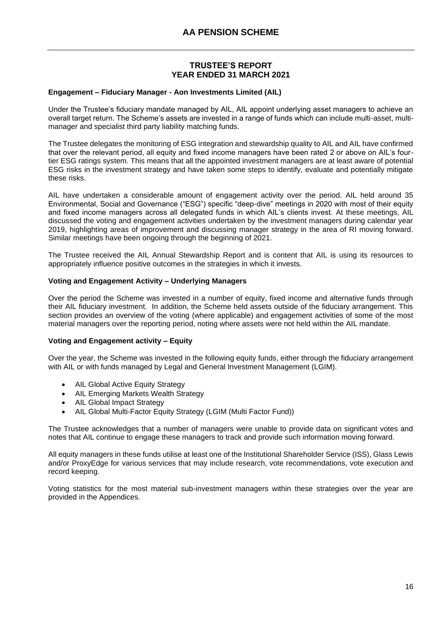#### **Engagement – Fiduciary Manager - Aon Investments Limited (AIL)**

Under the Trustee's fiduciary mandate managed by AIL, AIL appoint underlying asset managers to achieve an overall target return. The Scheme's assets are invested in a range of funds which can include multi-asset, multimanager and specialist third party liability matching funds.

The Trustee delegates the monitoring of ESG integration and stewardship quality to AIL and AIL have confirmed that over the relevant period, all equity and fixed income managers have been rated 2 or above on AIL's fourtier ESG ratings system. This means that all the appointed investment managers are at least aware of potential ESG risks in the investment strategy and have taken some steps to identify, evaluate and potentially mitigate these risks.

AIL have undertaken a considerable amount of engagement activity over the period. AIL held around 35 Environmental, Social and Governance ("ESG") specific "deep-dive" meetings in 2020 with most of their equity and fixed income managers across all delegated funds in which AIL's clients invest. At these meetings, AIL discussed the voting and engagement activities undertaken by the investment managers during calendar year 2019, highlighting areas of improvement and discussing manager strategy in the area of RI moving forward. Similar meetings have been ongoing through the beginning of 2021.

The Trustee received the AIL Annual Stewardship Report and is content that AIL is using its resources to appropriately influence positive outcomes in the strategies in which it invests.

#### **Voting and Engagement Activity – Underlying Managers**

Over the period the Scheme was invested in a number of equity, fixed income and alternative funds through their AIL fiduciary investment. In addition, the Scheme held assets outside of the fiduciary arrangement. This section provides an overview of the voting (where applicable) and engagement activities of some of the most material managers over the reporting period, noting where assets were not held within the AIL mandate.

#### **Voting and Engagement activity – Equity**

Over the year, the Scheme was invested in the following equity funds, either through the fiduciary arrangement with AIL or with funds managed by Legal and General Investment Management (LGIM).

- AIL Global Active Equity Strategy
- AIL Emerging Markets Wealth Strategy
- AIL Global Impact Strategy
- AIL Global Multi-Factor Equity Strategy (LGIM (Multi Factor Fund))

The Trustee acknowledges that a number of managers were unable to provide data on significant votes and notes that AIL continue to engage these managers to track and provide such information moving forward.

All equity managers in these funds utilise at least one of the Institutional Shareholder Service (ISS), Glass Lewis and/or ProxyEdge for various services that may include research, vote recommendations, vote execution and record keeping.

Voting statistics for the most material sub-investment managers within these strategies over the year are provided in the Appendices.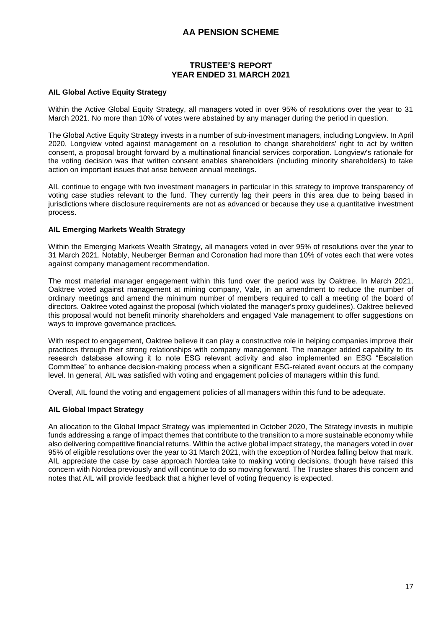#### **AIL Global Active Equity Strategy**

Within the Active Global Equity Strategy, all managers voted in over 95% of resolutions over the year to 31 March 2021. No more than 10% of votes were abstained by any manager during the period in question.

The Global Active Equity Strategy invests in a number of sub-investment managers, including Longview. In April 2020, Longview voted against management on a resolution to change shareholders' right to act by written consent, a proposal brought forward by a multinational financial services corporation. Longview's rationale for the voting decision was that written consent enables shareholders (including minority shareholders) to take action on important issues that arise between annual meetings.

AIL continue to engage with two investment managers in particular in this strategy to improve transparency of voting case studies relevant to the fund. They currently lag their peers in this area due to being based in jurisdictions where disclosure requirements are not as advanced or because they use a quantitative investment process.

#### **AIL Emerging Markets Wealth Strategy**

Within the Emerging Markets Wealth Strategy, all managers voted in over 95% of resolutions over the year to 31 March 2021. Notably, Neuberger Berman and Coronation had more than 10% of votes each that were votes against company management recommendation.

The most material manager engagement within this fund over the period was by Oaktree. In March 2021, Oaktree voted against management at mining company, Vale, in an amendment to reduce the number of ordinary meetings and amend the minimum number of members required to call a meeting of the board of directors. Oaktree voted against the proposal (which violated the manager's proxy guidelines). Oaktree believed this proposal would not benefit minority shareholders and engaged Vale management to offer suggestions on ways to improve governance practices.

With respect to engagement, Oaktree believe it can play a constructive role in helping companies improve their practices through their strong relationships with company management. The manager added capability to its research database allowing it to note ESG relevant activity and also implemented an ESG "Escalation Committee" to enhance decision-making process when a significant ESG-related event occurs at the company level. In general, AIL was satisfied with voting and engagement policies of managers within this fund.

Overall, AIL found the voting and engagement policies of all managers within this fund to be adequate.

# **AIL Global Impact Strategy**

An allocation to the Global Impact Strategy was implemented in October 2020, The Strategy invests in multiple funds addressing a range of impact themes that contribute to the transition to a more sustainable economy while also delivering competitive financial returns. Within the active global impact strategy, the managers voted in over 95% of eligible resolutions over the year to 31 March 2021, with the exception of Nordea falling below that mark. AIL appreciate the case by case approach Nordea take to making voting decisions, though have raised this concern with Nordea previously and will continue to do so moving forward. The Trustee shares this concern and notes that AIL will provide feedback that a higher level of voting frequency is expected.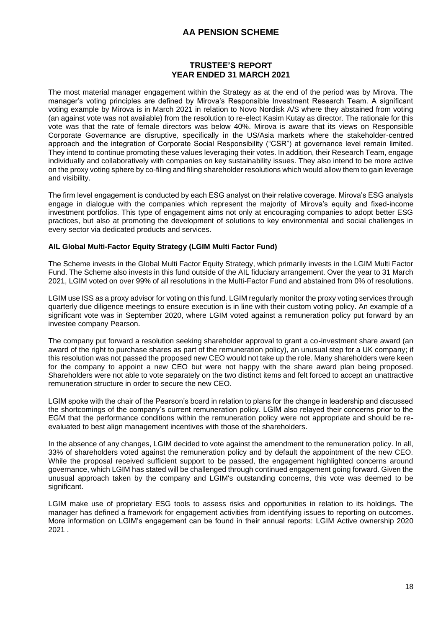The most material manager engagement within the Strategy as at the end of the period was by Mirova. The manager's voting principles are defined by Mirova's Responsible Investment Research Team. A significant voting example by Mirova is in March 2021 in relation to Novo Nordisk A/S where they abstained from voting (an against vote was not available) from the resolution to re-elect Kasim Kutay as director. The rationale for this vote was that the rate of female directors was below 40%. Mirova is aware that its views on Responsible Corporate Governance are disruptive, specifically in the US/Asia markets where the stakeholder-centred approach and the integration of Corporate Social Responsibility ("CSR") at governance level remain limited. They intend to continue promoting these values leveraging their votes. In addition, their Research Team, engage individually and collaboratively with companies on key sustainability issues. They also intend to be more active on the proxy voting sphere by co-filing and filing shareholder resolutions which would allow them to gain leverage and visibility.

The firm level engagement is conducted by each ESG analyst on their relative coverage. Mirova's ESG analysts engage in dialogue with the companies which represent the majority of Mirova's equity and fixed-income investment portfolios. This type of engagement aims not only at encouraging companies to adopt better ESG practices, but also at promoting the development of solutions to key environmental and social challenges in every sector via dedicated products and services.

# **AIL Global Multi-Factor Equity Strategy (LGIM Multi Factor Fund)**

The Scheme invests in the Global Multi Factor Equity Strategy, which primarily invests in the LGIM Multi Factor Fund. The Scheme also invests in this fund outside of the AIL fiduciary arrangement. Over the year to 31 March 2021, LGIM voted on over 99% of all resolutions in the Multi-Factor Fund and abstained from 0% of resolutions.

LGIM use ISS as a proxy advisor for voting on this fund. LGIM regularly monitor the proxy voting services through quarterly due diligence meetings to ensure execution is in line with their custom voting policy. An example of a significant vote was in September 2020, where LGIM voted against a remuneration policy put forward by an investee company Pearson.

The company put forward a resolution seeking shareholder approval to grant a co-investment share award (an award of the right to purchase shares as part of the remuneration policy), an unusual step for a UK company; if this resolution was not passed the proposed new CEO would not take up the role. Many shareholders were keen for the company to appoint a new CEO but were not happy with the share award plan being proposed. Shareholders were not able to vote separately on the two distinct items and felt forced to accept an unattractive remuneration structure in order to secure the new CEO.

LGIM spoke with the chair of the Pearson's board in relation to plans for the change in leadership and discussed the shortcomings of the company's current remuneration policy. LGIM also relayed their concerns prior to the EGM that the performance conditions within the remuneration policy were not appropriate and should be reevaluated to best align management incentives with those of the shareholders.

In the absence of any changes, LGIM decided to vote against the amendment to the remuneration policy. In all, 33% of shareholders voted against the remuneration policy and by default the appointment of the new CEO. While the proposal received sufficient support to be passed, the engagement highlighted concerns around governance, which LGIM has stated will be challenged through continued engagement going forward. Given the unusual approach taken by the company and LGIM's outstanding concerns, this vote was deemed to be significant.

LGIM make use of proprietary ESG tools to assess risks and opportunities in relation to its holdings. The manager has defined a framework for engagement activities from identifying issues to reporting on outcomes. More information on LGIM's engagement can be found in their annual reports: [LGIM Active ownership 2020](https://www.lgim.com/landg-assets/lgim/_document-library/capabilities/active-ownership-report-2020.pdf)  [2021](https://www.lgim.com/landg-assets/lgim/_document-library/capabilities/active-ownership-report-2020.pdf) .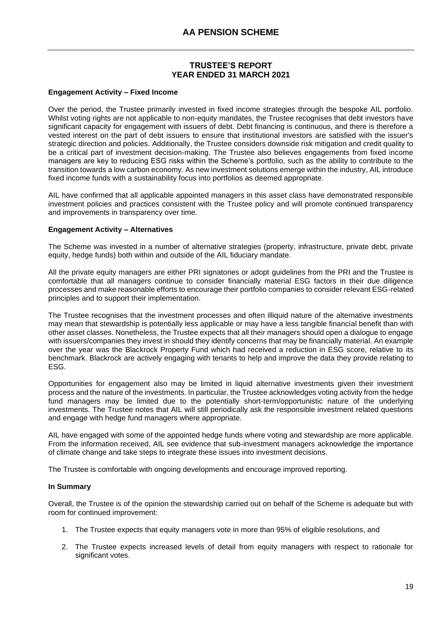#### **Engagement Activity – Fixed Income**

Over the period, the Trustee primarily invested in fixed income strategies through the bespoke AIL portfolio. Whilst voting rights are not applicable to non-equity mandates, the Trustee recognises that debt investors have significant capacity for engagement with issuers of debt. Debt financing is continuous, and there is therefore a vested interest on the part of debt issuers to ensure that institutional investors are satisfied with the issuer's strategic direction and policies. Additionally, the Trustee considers downside risk mitigation and credit quality to be a critical part of investment decision-making. The Trustee also believes engagements from fixed income managers are key to reducing ESG risks within the Scheme's portfolio, such as the ability to contribute to the transition towards a low carbon economy. As new investment solutions emerge within the industry, AIL introduce fixed income funds with a sustainability focus into portfolios as deemed appropriate.

AIL have confirmed that all applicable appointed managers in this asset class have demonstrated responsible investment policies and practices consistent with the Trustee policy and will promote continued transparency and improvements in transparency over time.

#### **Engagement Activity – Alternatives**

The Scheme was invested in a number of alternative strategies (property, infrastructure, private debt, private equity, hedge funds) both within and outside of the AIL fiduciary mandate.

All the private equity managers are either PRI signatories or adopt guidelines from the PRI and the Trustee is comfortable that all managers continue to consider financially material ESG factors in their due diligence processes and make reasonable efforts to encourage their portfolio companies to consider relevant ESG-related principles and to support their implementation.

The Trustee recognises that the investment processes and often illiquid nature of the alternative investments may mean that stewardship is potentially less applicable or may have a less tangible financial benefit than with other asset classes. Nonetheless, the Trustee expects that all their managers should open a dialogue to engage with issuers/companies they invest in should they identify concerns that may be financially material. An example over the year was the Blackrock Property Fund which had received a reduction in ESG score, relative to its benchmark. Blackrock are actively engaging with tenants to help and improve the data they provide relating to ESG.

Opportunities for engagement also may be limited in liquid alternative investments given their investment process and the nature of the investments. In particular, the Trustee acknowledges voting activity from the hedge fund managers may be limited due to the potentially short-term/opportunistic nature of the underlying investments. The Trustee notes that AIL will still periodically ask the responsible investment related questions and engage with hedge fund managers where appropriate.

AIL have engaged with some of the appointed hedge funds where voting and stewardship are more applicable. From the information received, AIL see evidence that sub-investment managers acknowledge the importance of climate change and take steps to integrate these issues into investment decisions.

The Trustee is comfortable with ongoing developments and encourage improved reporting.

#### **In Summary**

Overall, the Trustee is of the opinion the stewardship carried out on behalf of the Scheme is adequate but with room for continued improvement:

- 1. The Trustee expects that equity managers vote in more than 95% of eligible resolutions, and
- 2. The Trustee expects increased levels of detail from equity managers with respect to rationale for significant votes.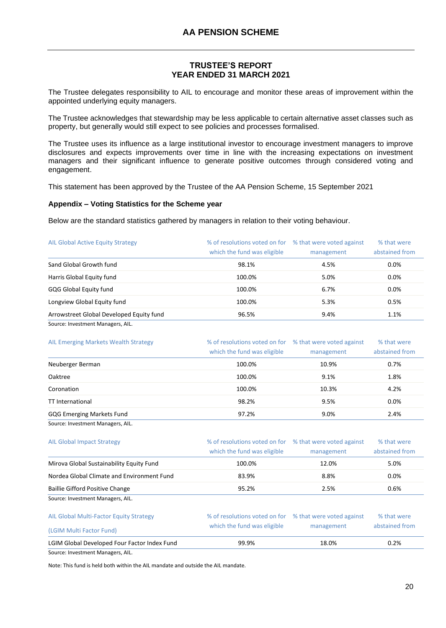The Trustee delegates responsibility to AIL to encourage and monitor these areas of improvement within the appointed underlying equity managers.

The Trustee acknowledges that stewardship may be less applicable to certain alternative asset classes such as property, but generally would still expect to see policies and processes formalised.

The Trustee uses its influence as a large institutional investor to encourage investment managers to improve disclosures and expects improvements over time in line with the increasing expectations on investment managers and their significant influence to generate positive outcomes through considered voting and engagement.

This statement has been approved by the Trustee of the AA Pension Scheme, 15 September 2021

#### **Appendix – Voting Statistics for the Scheme year**

Below are the standard statistics gathered by managers in relation to their voting behaviour.

| <b>AIL Global Active Equity Strategy</b> | % of resolutions voted on for % that were voted against<br>which the fund was eligible | management | % that were<br>abstained from |  |
|------------------------------------------|----------------------------------------------------------------------------------------|------------|-------------------------------|--|
| Sand Global Growth fund                  | 98.1%                                                                                  | 4.5%       | $0.0\%$                       |  |
| Harris Global Equity fund                | 100.0%                                                                                 | 5.0%       | 0.0%                          |  |
| GQG Global Equity fund                   | 100.0%                                                                                 | 6.7%       | 0.0%                          |  |
| Longview Global Equity fund              | 100.0%                                                                                 | 5.3%       | 0.5%                          |  |
| Arrowstreet Global Developed Equity fund | 96.5%                                                                                  | 9.4%       | 1.1%                          |  |
| Source: Investment Managers, AIL.        |                                                                                        |            |                               |  |

| AIL Emerging Markets Wealth Strategy | % of resolutions voted on for % that were voted against<br>which the fund was eligible | management | % that were<br>abstained from |
|--------------------------------------|----------------------------------------------------------------------------------------|------------|-------------------------------|
| Neuberger Berman                     | 100.0%                                                                                 | 10.9%      | 0.7%                          |
| <b>Oaktree</b>                       | 100.0%                                                                                 | 9.1%       | 1.8%                          |
| Coronation                           | 100.0%                                                                                 | 10.3%      | 4.2%                          |
| <b>TT</b> International              | 98.2%                                                                                  | 9.5%       | 0.0%                          |
| <b>GQG Emerging Markets Fund</b>     | 97.2%                                                                                  | 9.0%       | 2.4%                          |
| Source: Investment Managers, AIL.    |                                                                                        |            |                               |

| LGIM Global Developed Four Factor Index Fund | 99.9%                         | 18.0%                     | 0.2%           |
|----------------------------------------------|-------------------------------|---------------------------|----------------|
| (LGIM Multi Factor Fund)                     | which the fund was eligible   | management                | abstained from |
| AIL Global Multi-Factor Equity Strategy      | % of resolutions voted on for | % that were voted against | % that were    |
| Source: Investment Managers, AIL.            |                               |                           |                |
| Baillie Gifford Positive Change              | 95.2%<br>2.5%                 |                           | 0.6%           |
| Nordea Global Climate and Environment Fund   | 83.9%                         | 8.8%                      | $0.0\%$        |
| Mirova Global Sustainability Equity Fund     | 100.0%                        | 12.0%                     | 5.0%           |
|                                              | which the fund was eligible   | management                | abstained from |
| <b>AIL Global Impact Strategy</b>            | % of resolutions voted on for | % that were voted against | % that were    |

Source: Investment Managers, AIL.

Note: This fund is held both within the AIL mandate and outside the AIL mandate.

% that were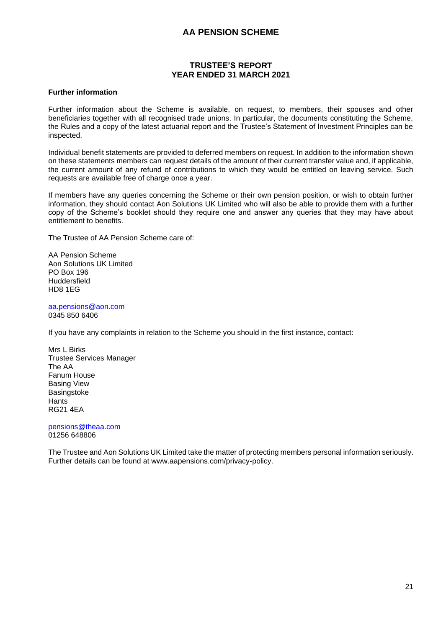#### **Further information**

Further information about the Scheme is available, on request, to members, their spouses and other beneficiaries together with all recognised trade unions. In particular, the documents constituting the Scheme, the Rules and a copy of the latest actuarial report and the Trustee's Statement of Investment Principles can be inspected.

Individual benefit statements are provided to deferred members on request. In addition to the information shown on these statements members can request details of the amount of their current transfer value and, if applicable, the current amount of any refund of contributions to which they would be entitled on leaving service. Such requests are available free of charge once a year.

If members have any queries concerning the Scheme or their own pension position, or wish to obtain further information, they should contact Aon Solutions UK Limited who will also be able to provide them with a further copy of the Scheme's booklet should they require one and answer any queries that they may have about entitlement to benefits.

The Trustee of AA Pension Scheme care of:

AA Pension Scheme Aon Solutions UK Limited PO Box 196 Huddersfield HD8 1EG

[aa.pensions@aon.com](mailto:aa.pensions@aon.com) 0345 850 6406

If you have any complaints in relation to the Scheme you should in the first instance, contact:

Mrs L Birks Trustee Services Manager The AA Fanum House Basing View **Basingstoke** Hants RG21 4EA

[pensions@theaa.com](mailto:pensions@theaa.com) 01256 648806

The Trustee and Aon Solutions UK Limited take the matter of protecting members personal information seriously. Further details can be found at www.aapensions.com/privacy-policy.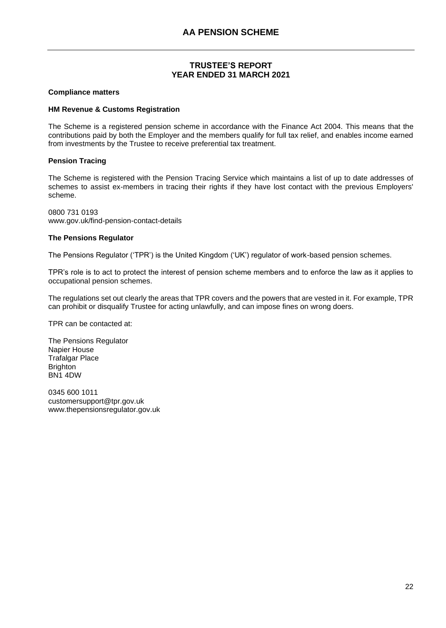#### **Compliance matters**

#### **HM Revenue & Customs Registration**

The Scheme is a registered pension scheme in accordance with the Finance Act 2004. This means that the contributions paid by both the Employer and the members qualify for full tax relief, and enables income earned from investments by the Trustee to receive preferential tax treatment.

# **Pension Tracing**

The Scheme is registered with the Pension Tracing Service which maintains a list of up to date addresses of schemes to assist ex-members in tracing their rights if they have lost contact with the previous Employers' scheme.

0800 731 0193 www.gov.uk/find-pension-contact-details

#### **The Pensions Regulator**

The Pensions Regulator ('TPR') is the United Kingdom ('UK') regulator of work-based pension schemes.

TPR's role is to act to protect the interest of pension scheme members and to enforce the law as it applies to occupational pension schemes.

The regulations set out clearly the areas that TPR covers and the powers that are vested in it. For example, TPR can prohibit or disqualify Trustee for acting unlawfully, and can impose fines on wrong doers.

TPR can be contacted at:

The Pensions Regulator Napier House Trafalgar Place **Brighton** BN1 4DW

0345 600 1011 customersupport@tpr.gov.uk www.thepensionsregulator.gov.uk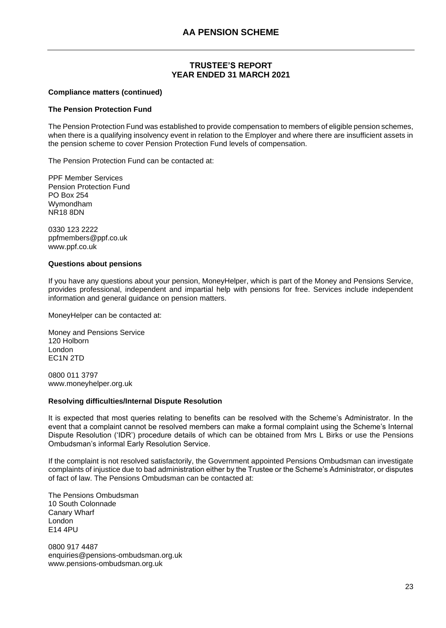#### **Compliance matters (continued)**

#### **The Pension Protection Fund**

The Pension Protection Fund was established to provide compensation to members of eligible pension schemes, when there is a qualifying insolvency event in relation to the Employer and where there are insufficient assets in the pension scheme to cover Pension Protection Fund levels of compensation.

The Pension Protection Fund can be contacted at:

PPF Member Services Pension Protection Fund PO Box 254 Wymondham NR18 8DN

0330 123 2222 ppfmembers@ppf.co.uk www.ppf.co.uk

#### **Questions about pensions**

If you have any questions about your pension, MoneyHelper, which is part of the Money and Pensions Service, provides professional, independent and impartial help with pensions for free. Services include independent information and general guidance on pension matters.

MoneyHelper can be contacted at:

Money and Pensions Service 120 Holborn London EC1N 2TD

0800 011 3797 [www.moneyhelper.org.uk](http://www.moneyhelper.org.uk/)

#### **Resolving difficulties/Internal Dispute Resolution**

It is expected that most queries relating to benefits can be resolved with the Scheme's Administrator. In the event that a complaint cannot be resolved members can make a formal complaint using the Scheme's Internal Dispute Resolution ('IDR') procedure details of which can be obtained from Mrs L Birks or use the Pensions Ombudsman's informal Early Resolution Service.

If the complaint is not resolved satisfactorily, the Government appointed Pensions Ombudsman can investigate complaints of injustice due to bad administration either by the Trustee or the Scheme's Administrator, or disputes of fact of law. The Pensions Ombudsman can be contacted at:

The Pensions Ombudsman 10 South Colonnade Canary Wharf London E14 4PU

0800 917 4487 enquiries@pensions-ombudsman.org.uk www.pensions-ombudsman.org.uk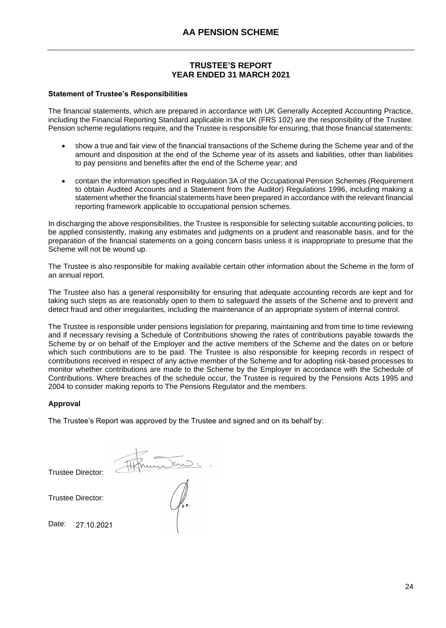# **Statement of Trustee's Responsibilities**

The financial statements, which are prepared in accordance with UK Generally Accepted Accounting Practice, including the Financial Reporting Standard applicable in the UK (FRS 102) are the responsibility of the Trustee. Pension scheme regulations require, and the Trustee is responsible for ensuring, that those financial statements:

- show a true and fair view of the financial transactions of the Scheme during the Scheme year and of the amount and disposition at the end of the Scheme year of its assets and liabilities, other than liabilities to pay pensions and benefits after the end of the Scheme year; and
- contain the information specified in Regulation 3A of the Occupational Pension Schemes (Requirement to obtain Audited Accounts and a Statement from the Auditor) Regulations 1996, including making a statement whether the financial statements have been prepared in accordance with the relevant financial reporting framework applicable to occupational pension schemes.

In discharging the above responsibilities, the Trustee is responsible for selecting suitable accounting policies, to be applied consistently, making any estimates and judgments on a prudent and reasonable basis, and for the preparation of the financial statements on a going concern basis unless it is inappropriate to presume that the Scheme will not be wound up.

The Trustee is also responsible for making available certain other information about the Scheme in the form of an annual report.

The Trustee also has a general responsibility for ensuring that adequate accounting records are kept and for taking such steps as are reasonably open to them to safeguard the assets of the Scheme and to prevent and detect fraud and other irregularities, including the maintenance of an appropriate system of internal control.

The Trustee is responsible under pensions legislation for preparing, maintaining and from time to time reviewing and if necessary revising a Schedule of Contributions showing the rates of contributions payable towards the Scheme by or on behalf of the Employer and the active members of the Scheme and the dates on or before which such contributions are to be paid. The Trustee is also responsible for keeping records in respect of contributions received in respect of any active member of the Scheme and for adopting risk-based processes to monitor whether contributions are made to the Scheme by the Employer in accordance with the Schedule of Contributions. Where breaches of the schedule occur, the Trustee is required by the Pensions Acts 1995 and 2004 to consider making reports to The Pensions Regulator and the members.

# **Approval**

The Trustee's Report was approved by the Trustee and signed and on its behalf by:

Trustee Director:

Trustee Director:

Date: 27.10.2021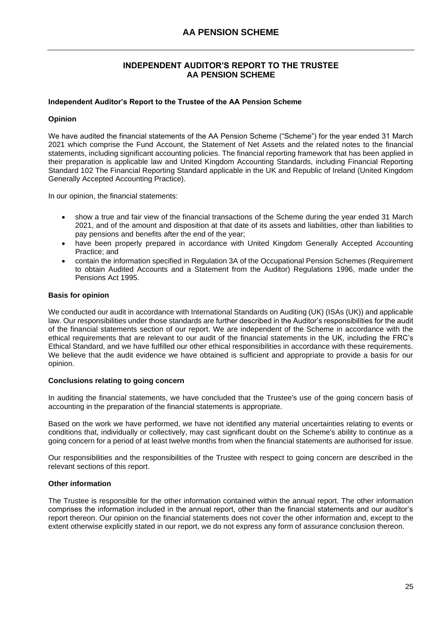# **INDEPENDENT AUDITOR'S REPORT TO THE TRUSTEE AA PENSION SCHEME**

#### <span id="page-26-0"></span>**Independent Auditor's Report to the Trustee of the AA Pension Scheme**

#### **Opinion**

We have audited the financial statements of the AA Pension Scheme ("Scheme") for the year ended 31 March 2021 which comprise the Fund Account, the Statement of Net Assets and the related notes to the financial statements, including significant accounting policies. The financial reporting framework that has been applied in their preparation is applicable law and United Kingdom Accounting Standards, including Financial Reporting Standard 102 The Financial Reporting Standard applicable in the UK and Republic of Ireland (United Kingdom Generally Accepted Accounting Practice).

In our opinion, the financial statements:

- show a true and fair view of the financial transactions of the Scheme during the year ended 31 March 2021, and of the amount and disposition at that date of its assets and liabilities, other than liabilities to pay pensions and benefits after the end of the year;
- have been properly prepared in accordance with United Kingdom Generally Accepted Accounting Practice; and
- contain the information specified in Regulation 3A of the Occupational Pension Schemes (Requirement to obtain Audited Accounts and a Statement from the Auditor) Regulations 1996, made under the Pensions Act 1995.

#### **Basis for opinion**

We conducted our audit in accordance with International Standards on Auditing (UK) (ISAs (UK)) and applicable law. Our responsibilities under those standards are further described in the Auditor's responsibilities for the audit of the financial statements section of our report. We are independent of the Scheme in accordance with the ethical requirements that are relevant to our audit of the financial statements in the UK, including the FRC's Ethical Standard, and we have fulfilled our other ethical responsibilities in accordance with these requirements. We believe that the audit evidence we have obtained is sufficient and appropriate to provide a basis for our opinion.

#### **Conclusions relating to going concern**

In auditing the financial statements, we have concluded that the Trustee's use of the going concern basis of accounting in the preparation of the financial statements is appropriate.

Based on the work we have performed, we have not identified any material uncertainties relating to events or conditions that, individually or collectively, may cast significant doubt on the Scheme's ability to continue as a going concern for a period of at least twelve months from when the financial statements are authorised for issue.

Our responsibilities and the responsibilities of the Trustee with respect to going concern are described in the relevant sections of this report.

# **Other information**

The Trustee is responsible for the other information contained within the annual report. The other information comprises the information included in the annual report, other than the financial statements and our auditor's report thereon. Our opinion on the financial statements does not cover the other information and, except to the extent otherwise explicitly stated in our report, we do not express any form of assurance conclusion thereon.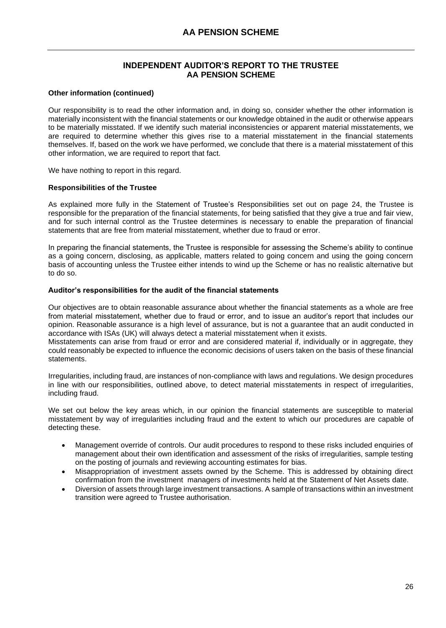# **INDEPENDENT AUDITOR'S REPORT TO THE TRUSTEE AA PENSION SCHEME**

#### **Other information (continued)**

Our responsibility is to read the other information and, in doing so, consider whether the other information is materially inconsistent with the financial statements or our knowledge obtained in the audit or otherwise appears to be materially misstated. If we identify such material inconsistencies or apparent material misstatements, we are required to determine whether this gives rise to a material misstatement in the financial statements themselves. If, based on the work we have performed, we conclude that there is a material misstatement of this other information, we are required to report that fact.

We have nothing to report in this regard.

#### **Responsibilities of the Trustee**

As explained more fully in the Statement of Trustee's Responsibilities set out on page 24, the Trustee is responsible for the preparation of the financial statements, for being satisfied that they give a true and fair view, and for such internal control as the Trustee determines is necessary to enable the preparation of financial statements that are free from material misstatement, whether due to fraud or error.

In preparing the financial statements, the Trustee is responsible for assessing the Scheme's ability to continue as a going concern, disclosing, as applicable, matters related to going concern and using the going concern basis of accounting unless the Trustee either intends to wind up the Scheme or has no realistic alternative but to do so.

#### **Auditor's responsibilities for the audit of the financial statements**

Our objectives are to obtain reasonable assurance about whether the financial statements as a whole are free from material misstatement, whether due to fraud or error, and to issue an auditor's report that includes our opinion. Reasonable assurance is a high level of assurance, but is not a guarantee that an audit conducted in accordance with ISAs (UK) will always detect a material misstatement when it exists.

Misstatements can arise from fraud or error and are considered material if, individually or in aggregate, they could reasonably be expected to influence the economic decisions of users taken on the basis of these financial statements.

Irregularities, including fraud, are instances of non-compliance with laws and regulations. We design procedures in line with our responsibilities, outlined above, to detect material misstatements in respect of irregularities, including fraud.

We set out below the key areas which, in our opinion the financial statements are susceptible to material misstatement by way of irregularities including fraud and the extent to which our procedures are capable of detecting these.

- Management override of controls. Our audit procedures to respond to these risks included enquiries of management about their own identification and assessment of the risks of irregularities, sample testing on the posting of journals and reviewing accounting estimates for bias.
- Misappropriation of investment assets owned by the Scheme. This is addressed by obtaining direct confirmation from the investment managers of investments held at the Statement of Net Assets date.
- Diversion of assets through large investment transactions. A sample of transactions within an investment transition were agreed to Trustee authorisation.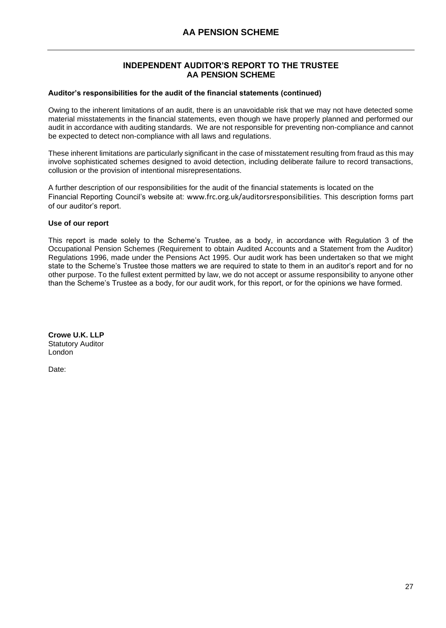# **INDEPENDENT AUDITOR'S REPORT TO THE TRUSTEE AA PENSION SCHEME**

#### **Auditor's responsibilities for the audit of the financial statements (continued)**

Owing to the inherent limitations of an audit, there is an unavoidable risk that we may not have detected some material misstatements in the financial statements, even though we have properly planned and performed our audit in accordance with auditing standards. We are not responsible for preventing non-compliance and cannot be expected to detect non-compliance with all laws and regulations.

These inherent limitations are particularly significant in the case of misstatement resulting from fraud as this may involve sophisticated schemes designed to avoid detection, including deliberate failure to record transactions, collusion or the provision of intentional misrepresentations.

A further description of our responsibilities for the audit of the financial statements is located on the Financial Reporting Council's website at: [www.frc.org.uk/auditorsresponsibilities](https://www.frc.org.uk/auditorsresponsibilities). This description forms part of our auditor's report.

#### **Use of our report**

This report is made solely to the Scheme's Trustee, as a body, in accordance with Regulation 3 of the Occupational Pension Schemes (Requirement to obtain Audited Accounts and a Statement from the Auditor) Regulations 1996, made under the Pensions Act 1995. Our audit work has been undertaken so that we might state to the Scheme's Trustee those matters we are required to state to them in an auditor's report and for no other purpose. To the fullest extent permitted by law, we do not accept or assume responsibility to anyone other than the Scheme's Trustee as a body, for our audit work, for this report, or for the opinions we have formed.

CLOWE U.K. LLP

**Crowe U.K. LLP** Statutory Auditor London

Date: 27 October 2021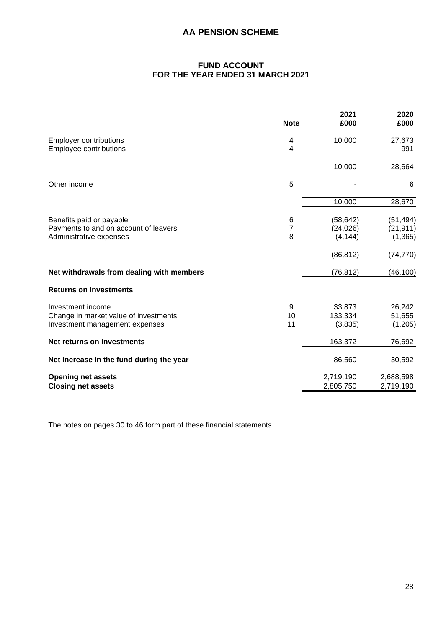# **FUND ACCOUNT FOR THE YEAR ENDED 31 MARCH 2021**

<span id="page-29-0"></span>

|                                           | <b>Note</b> | 2021<br>£000 | 2020<br>£000 |
|-------------------------------------------|-------------|--------------|--------------|
| <b>Employer contributions</b>             | 4           | 10,000       | 27,673       |
| <b>Employee contributions</b>             | 4           |              | 991          |
|                                           |             | 10,000       | 28,664       |
| Other income                              | 5           |              | 6            |
|                                           |             | 10,000       | 28,670       |
| Benefits paid or payable                  | $\,6$       | (58, 642)    | (51, 494)    |
| Payments to and on account of leavers     | 7           | (24, 026)    | (21, 911)    |
| Administrative expenses                   | 8           | (4, 144)     | (1, 365)     |
|                                           |             | (86, 812)    | (74, 770)    |
| Net withdrawals from dealing with members |             | (76, 812)    | (46, 100)    |
| <b>Returns on investments</b>             |             |              |              |
| Investment income                         | 9           | 33,873       | 26,242       |
| Change in market value of investments     | 10          | 133,334      | 51,655       |
| Investment management expenses            | 11          | (3,835)      | (1,205)      |
| Net returns on investments                |             | 163,372      | 76,692       |
| Net increase in the fund during the year  |             | 86,560       | 30,592       |
| <b>Opening net assets</b>                 |             | 2,719,190    | 2,688,598    |
| <b>Closing net assets</b>                 |             | 2,805,750    | 2,719,190    |

The notes on pages 30 to 46 form part of these financial statements.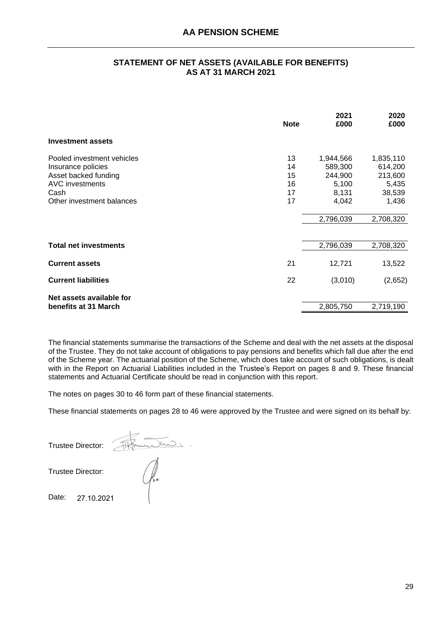# **STATEMENT OF NET ASSETS (AVAILABLE FOR BENEFITS) AS AT 31 MARCH 2021**

<span id="page-30-0"></span>

|                                                                                                                                         | <b>Note</b>                      | 2021<br>£000                                                            | 2020<br>£000                                                             |
|-----------------------------------------------------------------------------------------------------------------------------------------|----------------------------------|-------------------------------------------------------------------------|--------------------------------------------------------------------------|
| <b>Investment assets</b>                                                                                                                |                                  |                                                                         |                                                                          |
| Pooled investment vehicles<br>Insurance policies<br>Asset backed funding<br><b>AVC</b> investments<br>Cash<br>Other investment balances | 13<br>14<br>15<br>16<br>17<br>17 | 1,944,566<br>589,300<br>244,900<br>5,100<br>8,131<br>4,042<br>2,796,039 | 1,835,110<br>614,200<br>213,600<br>5,435<br>38,539<br>1,436<br>2,708,320 |
| <b>Total net investments</b>                                                                                                            |                                  | 2,796,039                                                               | 2,708,320                                                                |
| <b>Current assets</b>                                                                                                                   | 21                               | 12,721                                                                  | 13,522                                                                   |
| <b>Current liabilities</b>                                                                                                              | 22                               | (3,010)                                                                 | (2,652)                                                                  |
| Net assets available for<br>benefits at 31 March                                                                                        |                                  | 2,805,750                                                               | 2,719,190                                                                |

The financial statements summarise the transactions of the Scheme and deal with the net assets at the disposal of the Trustee. They do not take account of obligations to pay pensions and benefits which fall due after the end of the Scheme year. The actuarial position of the Scheme, which does take account of such obligations, is dealt with in the Report on Actuarial Liabilities included in the Trustee's Report on pages 8 and 9. These financial statements and Actuarial Certificate should be read in conjunction with this report.

The notes on pages 30 to 46 form part of these financial statements.

These financial statements on pages 28 to 46 were approved by the Trustee and were signed on its behalf by:

Trustee Director: Algricus Display  $\bigcirc \hspace{-0.3cm} \int_{s.o.}$ 

Trustee Director:

Date: 27.10.2021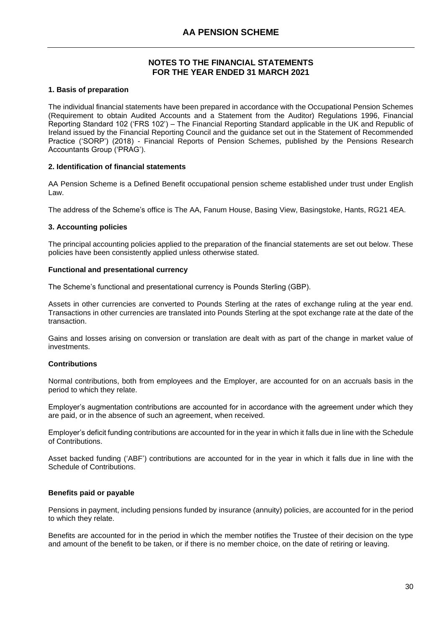# <span id="page-31-0"></span>**1. Basis of preparation**

The individual financial statements have been prepared in accordance with the Occupational Pension Schemes (Requirement to obtain Audited Accounts and a Statement from the Auditor) Regulations 1996, Financial Reporting Standard 102 ('FRS 102') – The Financial Reporting Standard applicable in the UK and Republic of Ireland issued by the Financial Reporting Council and the guidance set out in the Statement of Recommended Practice ('SORP') (2018) - Financial Reports of Pension Schemes, published by the Pensions Research Accountants Group ('PRAG').

# **2. Identification of financial statements**

AA Pension Scheme is a Defined Benefit occupational pension scheme established under trust under English Law.

The address of the Scheme's office is The AA, Fanum House, Basing View, Basingstoke, Hants, RG21 4EA.

# **3. Accounting policies**

The principal accounting policies applied to the preparation of the financial statements are set out below. These policies have been consistently applied unless otherwise stated.

# **Functional and presentational currency**

The Scheme's functional and presentational currency is Pounds Sterling (GBP).

Assets in other currencies are converted to Pounds Sterling at the rates of exchange ruling at the year end. Transactions in other currencies are translated into Pounds Sterling at the spot exchange rate at the date of the transaction.

Gains and losses arising on conversion or translation are dealt with as part of the change in market value of investments.

# **Contributions**

Normal contributions, both from employees and the Employer, are accounted for on an accruals basis in the period to which they relate.

Employer's augmentation contributions are accounted for in accordance with the agreement under which they are paid, or in the absence of such an agreement, when received.

Employer's deficit funding contributions are accounted for in the year in which it falls due in line with the Schedule of Contributions.

Asset backed funding ('ABF') contributions are accounted for in the year in which it falls due in line with the Schedule of Contributions.

# **Benefits paid or payable**

Pensions in payment, including pensions funded by insurance (annuity) policies, are accounted for in the period to which they relate.

Benefits are accounted for in the period in which the member notifies the Trustee of their decision on the type and amount of the benefit to be taken, or if there is no member choice, on the date of retiring or leaving.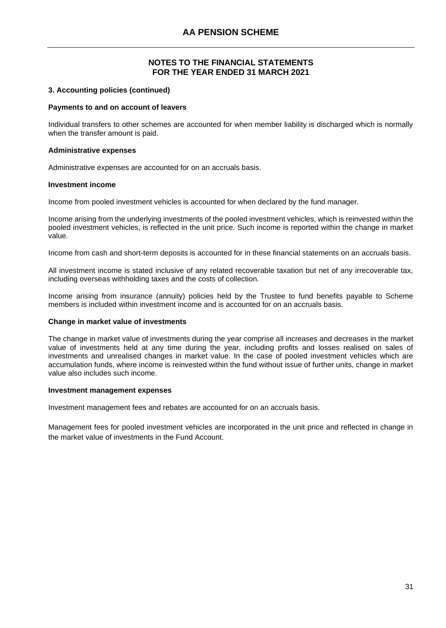#### **3. Accounting policies (continued)**

#### **Payments to and on account of leavers**

Individual transfers to other schemes are accounted for when member liability is discharged which is normally when the transfer amount is paid.

#### **Administrative expenses**

Administrative expenses are accounted for on an accruals basis.

#### **Investment income**

Income from pooled investment vehicles is accounted for when declared by the fund manager.

Income arising from the underlying investments of the pooled investment vehicles, which is reinvested within the pooled investment vehicles, is reflected in the unit price. Such income is reported within the change in market value.

Income from cash and short-term deposits is accounted for in these financial statements on an accruals basis.

All investment income is stated inclusive of any related recoverable taxation but net of any irrecoverable tax, including overseas withholding taxes and the costs of collection.

Income arising from insurance (annuity) policies held by the Trustee to fund benefits payable to Scheme members is included within investment income and is accounted for on an accruals basis.

#### **Change in market value of investments**

The change in market value of investments during the year comprise all increases and decreases in the market value of investments held at any time during the year, including profits and losses realised on sales of investments and unrealised changes in market value. In the case of pooled investment vehicles which are accumulation funds, where income is reinvested within the fund without issue of further units, change in market value also includes such income.

#### **Investment management expenses**

Investment management fees and rebates are accounted for on an accruals basis.

Management fees for pooled investment vehicles are incorporated in the unit price and reflected in change in the market value of investments in the Fund Account.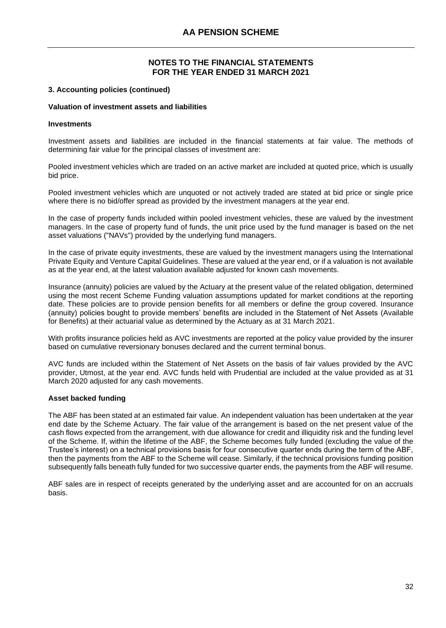#### **3. Accounting policies (continued)**

#### **Valuation of investment assets and liabilities**

#### **Investments**

Investment assets and liabilities are included in the financial statements at fair value. The methods of determining fair value for the principal classes of investment are:

Pooled investment vehicles which are traded on an active market are included at quoted price, which is usually bid price.

Pooled investment vehicles which are unquoted or not actively traded are stated at bid price or single price where there is no bid/offer spread as provided by the investment managers at the year end.

In the case of property funds included within pooled investment vehicles, these are valued by the investment managers. In the case of property fund of funds, the unit price used by the fund manager is based on the net asset valuations ("NAVs") provided by the underlying fund managers.

In the case of private equity investments, these are valued by the investment managers using the International Private Equity and Venture Capital Guidelines. These are valued at the year end, or if a valuation is not available as at the year end, at the latest valuation available adjusted for known cash movements.

Insurance (annuity) policies are valued by the Actuary at the present value of the related obligation, determined using the most recent Scheme Funding valuation assumptions updated for market conditions at the reporting date. These policies are to provide pension benefits for all members or define the group covered. Insurance (annuity) policies bought to provide members' benefits are included in the Statement of Net Assets (Available for Benefits) at their actuarial value as determined by the Actuary as at 31 March 2021.

With profits insurance policies held as AVC investments are reported at the policy value provided by the insurer based on cumulative reversionary bonuses declared and the current terminal bonus.

AVC funds are included within the Statement of Net Assets on the basis of fair values provided by the AVC provider, Utmost, at the year end. AVC funds held with Prudential are included at the value provided as at 31 March 2020 adjusted for any cash movements.

#### **Asset backed funding**

The ABF has been stated at an estimated fair value. An independent valuation has been undertaken at the year end date by the Scheme Actuary. The fair value of the arrangement is based on the net present value of the cash flows expected from the arrangement, with due allowance for credit and illiquidity risk and the funding level of the Scheme. If, within the lifetime of the ABF, the Scheme becomes fully funded (excluding the value of the Trustee's interest) on a technical provisions basis for four consecutive quarter ends during the term of the ABF, then the payments from the ABF to the Scheme will cease. Similarly, if the technical provisions funding position subsequently falls beneath fully funded for two successive quarter ends, the payments from the ABF will resume.

ABF sales are in respect of receipts generated by the underlying asset and are accounted for on an accruals basis.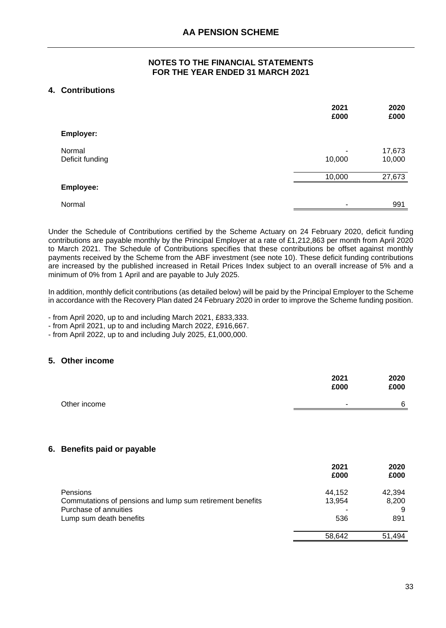# **4. Contributions** ) )

|                           | 2021<br>£000             | 2020<br>£000     |
|---------------------------|--------------------------|------------------|
| Employer:                 |                          |                  |
| Normal<br>Deficit funding | 10,000                   | 17,673<br>10,000 |
|                           | 10,000                   | 27,673           |
| Employee:                 |                          |                  |
| Normal                    | $\overline{\phantom{a}}$ | 991              |

Under the Schedule of Contributions certified by the Scheme Actuary on 24 February 2020, deficit funding contributions are payable monthly by the Principal Employer at a rate of £1,212,863 per month from April 2020 to March 2021. The Schedule of Contributions specifies that these contributions be offset against monthly payments received by the Scheme from the ABF investment (see note 10). These deficit funding contributions are increased by the published increased in Retail Prices Index subject to an overall increase of 5% and a minimum of 0% from 1 April and are payable to July 2025.

In addition, monthly deficit contributions (as detailed below) will be paid by the Principal Employer to the Scheme in accordance with the Recovery Plan dated 24 February 2020 in order to improve the Scheme funding position.

- from April 2020, up to and including March 2021, £833,333.

- from April 2021, up to and including March 2022, £916,667.

- from April 2022, up to and including July 2025, £1,000,000.

# **5. Other income** ) )

|              | 2021<br>£000             | 2020<br>£000 |
|--------------|--------------------------|--------------|
| Other income | $\overline{\phantom{a}}$ | 6            |

# **6.** Benefits paid or payable

|                                                           | 2021<br>£000 | 2020<br>£000 |
|-----------------------------------------------------------|--------------|--------------|
| Pensions                                                  | 44,152       | 42,394       |
| Commutations of pensions and lump sum retirement benefits | 13,954       | 8,200        |
| Purchase of annuities                                     |              | 9            |
| Lump sum death benefits                                   | 536          | 891          |
|                                                           | 58,642       | 51,494       |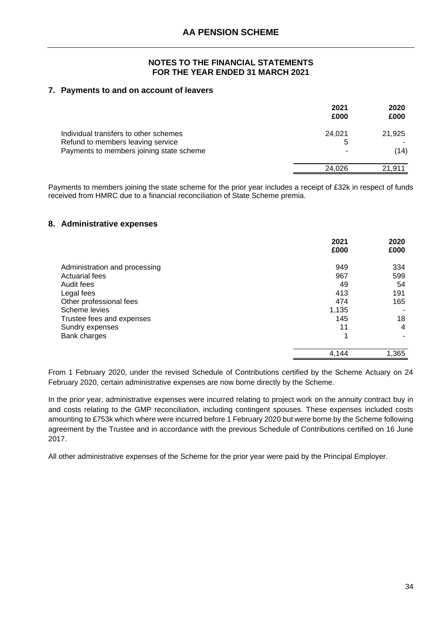# **7. Payments to and on account of leavers** ) )

|                                                                                                                        | 2021<br>£000     | 2020<br>£000   |
|------------------------------------------------------------------------------------------------------------------------|------------------|----------------|
| Individual transfers to other schemes<br>Refund to members leaving service<br>Payments to members joining state scheme | 24.021<br>5<br>- | 21,925<br>(14) |
|                                                                                                                        | 24.026           | 21,911         |

Payments to members joining the state scheme for the prior year includes a receipt of £32k in respect of funds received from HMRC due to a financial reconciliation of State Scheme premia.

# **8. Administrative expenses** ) )

|                               | 2021<br>£000 | 2020<br>£000 |
|-------------------------------|--------------|--------------|
| Administration and processing | 949          | 334          |
| <b>Actuarial fees</b>         | 967          | 599          |
| Audit fees                    | 49           | 54           |
| Legal fees                    | 413          | 191          |
| Other professional fees       | 474          | 165          |
| Scheme levies                 | 1,135        |              |
| Trustee fees and expenses     | 145          | 18           |
| Sundry expenses               | 11           | 4            |
| Bank charges                  | 1            |              |
|                               | 4,144        | 1,365        |

From 1 February 2020, under the revised Schedule of Contributions certified by the Scheme Actuary on 24 February 2020, certain administrative expenses are now borne directly by the Scheme.

In the prior year, administrative expenses were incurred relating to project work on the annuity contract buy in and costs relating to the GMP reconciliation, including contingent spouses. These expenses included costs amounting to £753k which where were incurred before 1 February 2020 but were borne by the Scheme following agreement by the Trustee and in accordance with the previous Schedule of Contributions certified on 16 June 2017.

All other administrative expenses of the Scheme for the prior year were paid by the Principal Employer.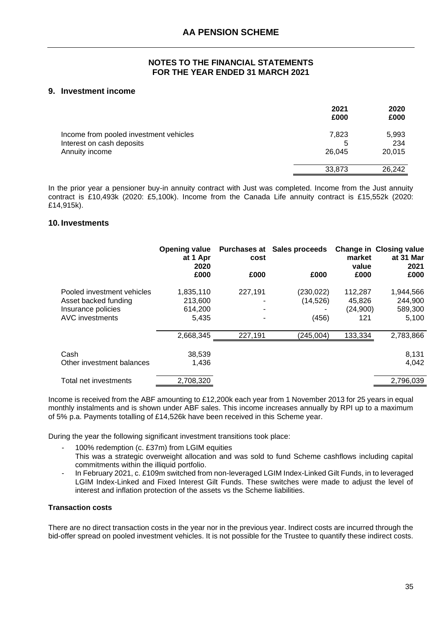# **9. Investment income** ) )

|                                                                     | 2021<br>£000 | 2020<br>£000 |
|---------------------------------------------------------------------|--------------|--------------|
| Income from pooled investment vehicles<br>Interest on cash deposits | 7,823<br>5   | 5,993<br>234 |
| Annuity income                                                      | 26.045       | 20,015       |
|                                                                     | 33,873       | 26,242       |

In the prior year a pensioner buy-in annuity contract with Just was completed. Income from the Just annuity contract is £10,493k (2020: £5,100k). Income from the Canada Life annuity contract is £15,552k (2020: £14,915k).

# **10. Investments** ) ) ) ) )

|                            | <b>Opening value</b><br>at 1 Apr<br>2020 | Purchases at<br>cost | Sales proceeds | market<br>value | <b>Change in Closing value</b><br>at 31 Mar<br>2021 |
|----------------------------|------------------------------------------|----------------------|----------------|-----------------|-----------------------------------------------------|
|                            | £000                                     | £000                 | £000           | £000            | £000                                                |
| Pooled investment vehicles | 1,835,110                                | 227,191              | (230, 022)     | 112,287         | 1,944,566                                           |
| Asset backed funding       | 213.600                                  |                      | (14, 526)      | 45,826          | 244,900                                             |
| Insurance policies         | 614,200                                  |                      | ۰              | (24,900)        | 589,300                                             |
| <b>AVC</b> investments     | 5.435                                    |                      | (456)          | 121             | 5,100                                               |
|                            | 2,668,345                                | 227,191              | (245,004)      | 133,334         | 2,783,866                                           |
|                            |                                          |                      |                |                 |                                                     |
| Cash                       | 38,539                                   |                      |                |                 | 8,131                                               |
| Other investment balances  | 1,436                                    |                      |                |                 | 4,042                                               |
| Total net investments      | 2,708,320                                |                      |                |                 | 2,796,039                                           |
|                            |                                          |                      |                |                 |                                                     |

Income is received from the ABF amounting to £12,200k each year from 1 November 2013 for 25 years in equal monthly instalments and is shown under ABF sales. This income increases annually by RPI up to a maximum of 5% p.a. Payments totalling of £14,526k have been received in this Scheme year.

During the year the following significant investment transitions took place:

100% redemption (c. £37m) from LGIM equities

- This was a strategic overweight allocation and was sold to fund Scheme cashflows including capital commitments within the illiquid portfolio.
- In February 2021, c. £109m switched from non-leveraged LGIM Index-Linked Gilt Funds, in to leveraged LGIM Index-Linked and Fixed Interest Gilt Funds. These switches were made to adjust the level of interest and inflation protection of the assets vs the Scheme liabilities.

# **Transaction costs**

There are no direct transaction costs in the year nor in the previous year. Indirect costs are incurred through the bid-offer spread on pooled investment vehicles. It is not possible for the Trustee to quantify these indirect costs.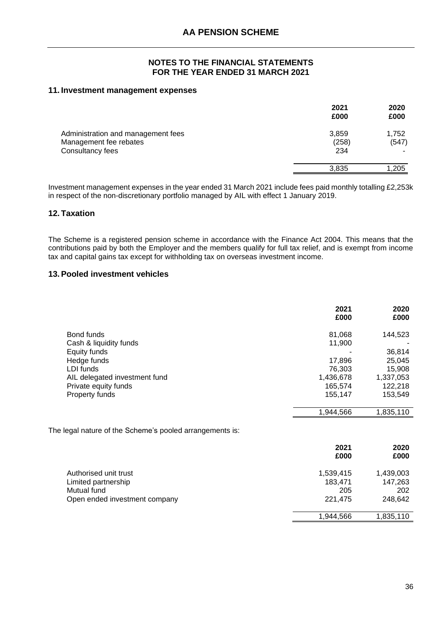#### **11. Investment management expenses** ) )

|                                                                                  | 2021<br>£000          | 2020<br>£000   |
|----------------------------------------------------------------------------------|-----------------------|----------------|
| Administration and management fees<br>Management fee rebates<br>Consultancy fees | 3,859<br>(258)<br>234 | 1,752<br>(547) |
|                                                                                  | 3,835                 | 1.205          |

Investment management expenses in the year ended 31 March 2021 include fees paid monthly totalling £2,253k in respect of the non-discretionary portfolio managed by AIL with effect 1 January 2019.

# **12. Taxation** )

The Scheme is a registered pension scheme in accordance with the Finance Act 2004. This means that the contributions paid by both the Employer and the members qualify for full tax relief, and is exempt from income tax and capital gains tax except for withholding tax on overseas investment income.

# **13.Pooled investment vehicles** )

|                               | 2021<br>£000 | 2020<br>£000 |
|-------------------------------|--------------|--------------|
| Bond funds                    | 81,068       | 144,523      |
| Cash & liquidity funds        | 11,900       |              |
| Equity funds                  |              | 36,814       |
| Hedge funds                   | 17,896       | 25,045       |
| LDI funds                     | 76,303       | 15,908       |
| AIL delegated investment fund | 1,436,678    | 1,337,053    |
| Private equity funds          | 165,574      | 122,218      |
| Property funds                | 155,147      | 153,549      |
|                               | 1,944,566    | 1,835,110    |

|                               | 2021<br>£000 | 2020<br>£000 |
|-------------------------------|--------------|--------------|
| Authorised unit trust         | 1,539,415    | 1,439,003    |
| Limited partnership           | 183,471      | 147,263      |
| Mutual fund                   | 205          | 202          |
| Open ended investment company | 221.475      | 248,642      |
|                               | 1.944.566    | 1,835,110    |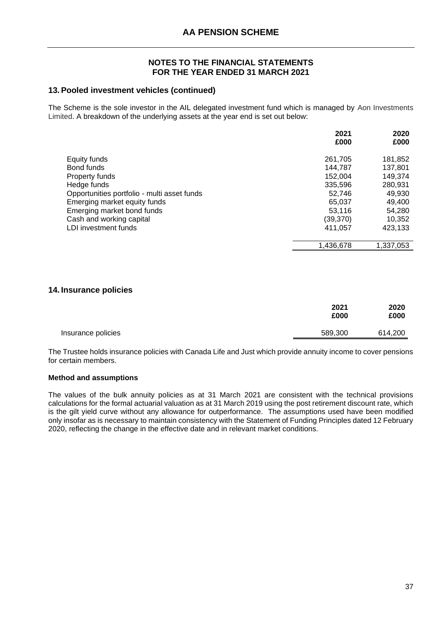# **13.Pooled investment vehicles (continued)** )

The Scheme is the sole investor in the AIL delegated investment fund which is managed by Aon Investments Limited. A breakdown of the underlying assets at the year end is set out below:

|                                             | 2021<br>£000 | 2020<br>£000 |
|---------------------------------------------|--------------|--------------|
| Equity funds                                | 261,705      | 181,852      |
| Bond funds                                  | 144,787      | 137,801      |
| Property funds                              | 152,004      | 149,374      |
| Hedge funds                                 | 335,596      | 280,931      |
| Opportunities portfolio - multi asset funds | 52.746       | 49,930       |
| Emerging market equity funds                | 65,037       | 49,400       |
| Emerging market bond funds                  | 53,116       | 54,280       |
| Cash and working capital                    | (39,370)     | 10,352       |
| LDI investment funds                        | 411,057      | 423,133      |
|                                             | 1,436,678    | 1,337,053    |
|                                             |              |              |

# **14. Insurance policies** ) )

|                    | 2021<br>£000 | 2020<br>£000 |
|--------------------|--------------|--------------|
| Insurance policies | 589,300      | 614,200      |

The Trustee holds insurance policies with Canada Life and Just which provide annuity income to cover pensions for certain members.

# **Method and assumptions**

The values of the bulk annuity policies as at 31 March 2021 are consistent with the technical provisions calculations for the formal actuarial valuation as at 31 March 2019 using the post retirement discount rate, which is the gilt yield curve without any allowance for outperformance. The assumptions used have been modified only insofar as is necessary to maintain consistency with the Statement of Funding Principles dated 12 February 2020, reflecting the change in the effective date and in relevant market conditions.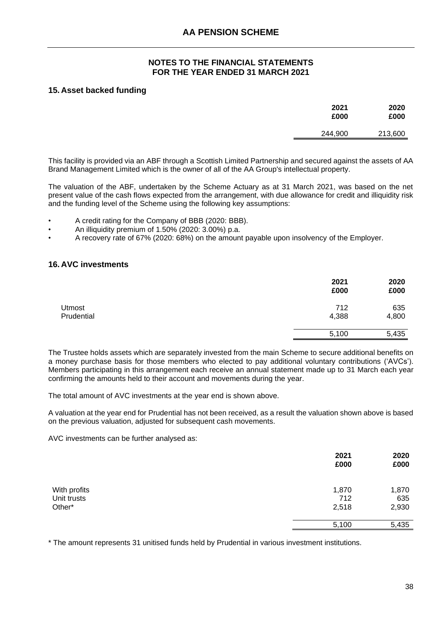# **15. Asset backed funding** ) )

| 2021<br>£000 | 2020<br>£000 |
|--------------|--------------|
| 244,900      | 213,600      |

This facility is provided via an ABF through a Scottish Limited Partnership and secured against the assets of AA Brand Management Limited which is the owner of all of the AA Group's intellectual property.

The valuation of the ABF, undertaken by the Scheme Actuary as at 31 March 2021, was based on the net present value of the cash flows expected from the arrangement, with due allowance for credit and illiquidity risk and the funding level of the Scheme using the following key assumptions:

- A credit rating for the Company of BBB (2020: BBB).
- An illiquidity premium of 1.50% (2020: 3.00%) p.a.
- A recovery rate of 67% (2020: 68%) on the amount payable upon insolvency of the Employer.

# **16. AVC investments** ) )

|                             | 2021<br>£000 | 2020<br>£000 |
|-----------------------------|--------------|--------------|
| <b>Utmost</b><br>Prudential | 712<br>4,388 | 635<br>4,800 |
|                             | 5,100        | 5,435        |

The Trustee holds assets which are separately invested from the main Scheme to secure additional benefits on a money purchase basis for those members who elected to pay additional voluntary contributions ('AVCs'). Members participating in this arrangement each receive an annual statement made up to 31 March each year confirming the amounts held to their account and movements during the year.

The total amount of AVC investments at the year end is shown above.

A valuation at the year end for Prudential has not been received, as a result the valuation shown above is based on the previous valuation, adjusted for subsequent cash movements.

AVC investments can be further analysed as:

|                                       | 2021<br>£000          | 2020<br>£000          |
|---------------------------------------|-----------------------|-----------------------|
| With profits<br>Unit trusts<br>Other* | 1,870<br>712<br>2,518 | 1,870<br>635<br>2,930 |
|                                       | 5,100                 | 5,435                 |

\* The amount represents 31 unitised funds held by Prudential in various investment institutions.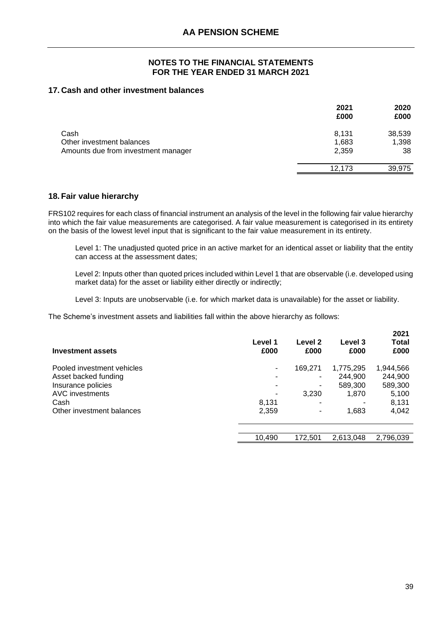# **17. Cash and other investment balances** ) )

|                                     | 2021<br>£000 | 2020<br>£000 |
|-------------------------------------|--------------|--------------|
| Cash                                | 8,131        | 38,539       |
| Other investment balances           | 1,683        | 1,398        |
| Amounts due from investment manager | 2,359        | 38           |
|                                     | 12.173       | 39,975       |

# **18. Fair value hierarchy** )

FRS102 requires for each class of financial instrument an analysis of the level in the following fair value hierarchy into which the fair value measurements are categorised. A fair value measurement is categorised in its entirety on the basis of the lowest level input that is significant to the fair value measurement in its entirety.

Level 1: The unadjusted quoted price in an active market for an identical asset or liability that the entity can access at the assessment dates;

Level 2: Inputs other than quoted prices included within Level 1 that are observable (i.e. developed using market data) for the asset or liability either directly or indirectly;

Level 3: Inputs are unobservable (i.e. for which market data is unavailable) for the asset or liability.

The Scheme's investment assets and liabilities fall within the above hierarchy as follows:

| Investment assets          | Level 1<br>£000          | Level <sub>2</sub><br>£000 | Level 3<br>£000 | 2021<br><b>Total</b><br>£000 |
|----------------------------|--------------------------|----------------------------|-----------------|------------------------------|
| Pooled investment vehicles | $\overline{\phantom{a}}$ | 169,271                    | 1,775,295       | 1,944,566                    |
| Asset backed funding       | ٠                        |                            | 244,900         | 244,900                      |
| Insurance policies         | ٠                        |                            | 589,300         | 589,300                      |
| <b>AVC</b> investments     |                          | 3,230                      | 1,870           | 5,100                        |
| Cash                       | 8,131                    | ۰                          |                 | 8,131                        |
| Other investment balances  | 2,359                    |                            | 1,683           | 4,042                        |
|                            |                          |                            |                 |                              |
|                            | 10,490                   | 172.501                    | 2,613,048       | 2,796,039                    |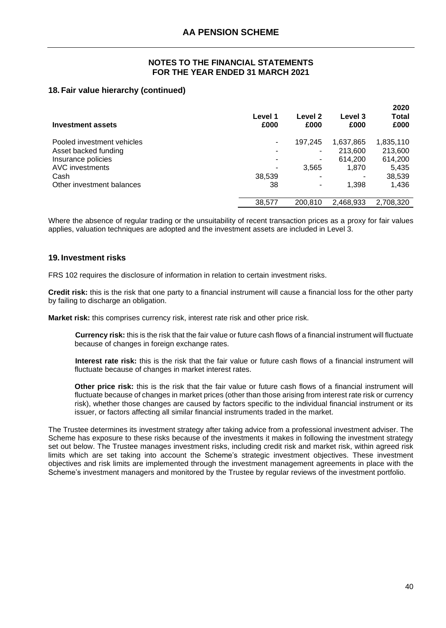# **18. Fair value hierarchy (continued)** )

| Investment assets          | Level 1<br>£000 | Level 2<br>£000 | Level 3<br>£000 | 2020<br>Total<br>£000 |
|----------------------------|-----------------|-----------------|-----------------|-----------------------|
| Pooled investment vehicles | ۰               | 197.245         | 1,637,865       | 1,835,110             |
| Asset backed funding       |                 |                 | 213,600         | 213,600               |
| Insurance policies         |                 |                 | 614,200         | 614,200               |
| <b>AVC</b> investments     |                 | 3,565           | 1,870           | 5,435                 |
| Cash                       | 38,539          |                 |                 | 38,539                |
| Other investment balances  | 38              |                 | 1.398           | 1,436                 |
|                            | 38,577          | 200.810         | 2.468.933       | 2.708.320             |

Where the absence of regular trading or the unsuitability of recent transaction prices as a proxy for fair values applies, valuation techniques are adopted and the investment assets are included in Level 3.

# **19. Investment risks** )

FRS 102 requires the disclosure of information in relation to certain investment risks.

**Credit risk:** this is the risk that one party to a financial instrument will cause a financial loss for the other party by failing to discharge an obligation.

**Market risk:** this comprises currency risk, interest rate risk and other price risk.

**Currency risk:** this is the risk that the fair value or future cash flows of a financial instrument will fluctuate because of changes in foreign exchange rates.

**Interest rate risk:** this is the risk that the fair value or future cash flows of a financial instrument will fluctuate because of changes in market interest rates.

**Other price risk:** this is the risk that the fair value or future cash flows of a financial instrument will fluctuate because of changes in market prices (other than those arising from interest rate risk or currency risk), whether those changes are caused by factors specific to the individual financial instrument or its issuer, or factors affecting all similar financial instruments traded in the market.

The Trustee determines its investment strategy after taking advice from a professional investment adviser. The Scheme has exposure to these risks because of the investments it makes in following the investment strategy set out below. The Trustee manages investment risks, including credit risk and market risk, within agreed risk limits which are set taking into account the Scheme's strategic investment objectives. These investment objectives and risk limits are implemented through the investment management agreements in place with the Scheme's investment managers and monitored by the Trustee by regular reviews of the investment portfolio.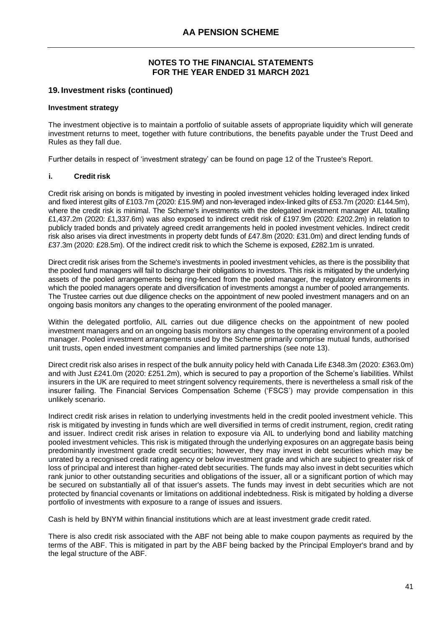# **19. Investment risks (continued)** )

#### **Investment strategy**

The investment objective is to maintain a portfolio of suitable assets of appropriate liquidity which will generate investment returns to meet, together with future contributions, the benefits payable under the Trust Deed and Rules as they fall due.

Further details in respect of 'investment strategy' can be found on page 12 of the Trustee's Report.

#### **i. Credit risk**

Credit risk arising on bonds is mitigated by investing in pooled investment vehicles holding leveraged index linked and fixed interest gilts of £103.7m (2020: £15.9M) and non-leveraged index-linked gilts of £53.7m (2020: £144.5m), where the credit risk is minimal. The Scheme's investments with the delegated investment manager AIL totalling £1,437.2m (2020: £1,337.6m) was also exposed to indirect credit risk of £197.9m (2020: £202.2m) in relation to publicly traded bonds and privately agreed credit arrangements held in pooled investment vehicles. Indirect credit risk also arises via direct investments in property debt funds of £47.8m (2020: £31.0m) and direct lending funds of £37.3m (2020: £28.5m). Of the indirect credit risk to which the Scheme is exposed, £282.1m is unrated.

Direct credit risk arises from the Scheme's investments in pooled investment vehicles, as there is the possibility that the pooled fund managers will fail to discharge their obligations to investors. This risk is mitigated by the underlying assets of the pooled arrangements being ring-fenced from the pooled manager, the regulatory environments in which the pooled managers operate and diversification of investments amongst a number of pooled arrangements. The Trustee carries out due diligence checks on the appointment of new pooled investment managers and on an ongoing basis monitors any changes to the operating environment of the pooled manager.

Within the delegated portfolio, AIL carries out due diligence checks on the appointment of new pooled investment managers and on an ongoing basis monitors any changes to the operating environment of a pooled manager. Pooled investment arrangements used by the Scheme primarily comprise mutual funds, authorised unit trusts, open ended investment companies and limited partnerships (see note 13).

Direct credit risk also arises in respect of the bulk annuity policy held with Canada Life £348.3m (2020: £363.0m) and with Just £241.0m (2020: £251.2m), which is secured to pay a proportion of the Scheme's liabilities. Whilst insurers in the UK are required to meet stringent solvency requirements, there is nevertheless a small risk of the insurer failing. The Financial Services Compensation Scheme ('FSCS') may provide compensation in this unlikely scenario.

Indirect credit risk arises in relation to underlying investments held in the credit pooled investment vehicle. This risk is mitigated by investing in funds which are well diversified in terms of credit instrument, region, credit rating and issuer. Indirect credit risk arises in relation to exposure via AIL to underlying bond and liability matching pooled investment vehicles. This risk is mitigated through the underlying exposures on an aggregate basis being predominantly investment grade credit securities; however, they may invest in debt securities which may be unrated by a recognised credit rating agency or below investment grade and which are subject to greater risk of loss of principal and interest than higher-rated debt securities. The funds may also invest in debt securities which rank junior to other outstanding securities and obligations of the issuer, all or a significant portion of which may be secured on substantially all of that issuer's assets. The funds may invest in debt securities which are not protected by financial covenants or limitations on additional indebtedness. Risk is mitigated by holding a diverse portfolio of investments with exposure to a range of issues and issuers.

Cash is held by BNYM within financial institutions which are at least investment grade credit rated.

There is also credit risk associated with the ABF not being able to make coupon payments as required by the terms of the ABF. This is mitigated in part by the ABF being backed by the Principal Employer's brand and by the legal structure of the ABF.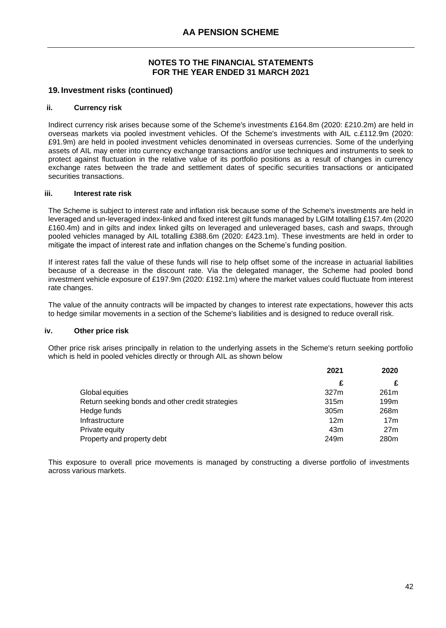# **19. Investment risks (continued)** )

#### **ii. Currency risk**

Indirect currency risk arises because some of the Scheme's investments £164.8m (2020: £210.2m) are held in overseas markets via pooled investment vehicles. Of the Scheme's investments with AIL c.£112.9m (2020: £91.9m) are held in pooled investment vehicles denominated in overseas currencies. Some of the underlying assets of AIL may enter into currency exchange transactions and/or use techniques and instruments to seek to protect against fluctuation in the relative value of its portfolio positions as a result of changes in currency exchange rates between the trade and settlement dates of specific securities transactions or anticipated securities transactions.

#### **iii. Interest rate risk**

The Scheme is subject to interest rate and inflation risk because some of the Scheme's investments are held in leveraged and un-leveraged index-linked and fixed interest gilt funds managed by LGIM totalling £157.4m (2020 £160.4m) and in gilts and index linked gilts on leveraged and unleveraged bases, cash and swaps, through pooled vehicles managed by AIL totalling £388.6m (2020: £423.1m). These investments are held in order to mitigate the impact of interest rate and inflation changes on the Scheme's funding position.

If interest rates fall the value of these funds will rise to help offset some of the increase in actuarial liabilities because of a decrease in the discount rate. Via the delegated manager, the Scheme had pooled bond investment vehicle exposure of £197.9m (2020: £192.1m) where the market values could fluctuate from interest rate changes.

The value of the annuity contracts will be impacted by changes to interest rate expectations, however this acts to hedge similar movements in a section of the Scheme's liabilities and is designed to reduce overall risk.

#### **iv. Other price risk**

Other price risk arises principally in relation to the underlying assets in the Scheme's return seeking portfolio which is held in pooled vehicles directly or through AIL as shown below

|                                                  | 2021            | 2020             |
|--------------------------------------------------|-----------------|------------------|
|                                                  | £               |                  |
| Global equities                                  | 327m            | 261 <sub>m</sub> |
| Return seeking bonds and other credit strategies | 315m            | 199m             |
| Hedge funds                                      | 305m            | 268m             |
| Infrastructure                                   | 12 <sub>m</sub> | 17 <sub>m</sub>  |
| Private equity                                   | 43m             | 27 <sub>m</sub>  |
| Property and property debt                       | 249m            | 280 <sub>m</sub> |

This exposure to overall price movements is managed by constructing a diverse portfolio of investments across various markets.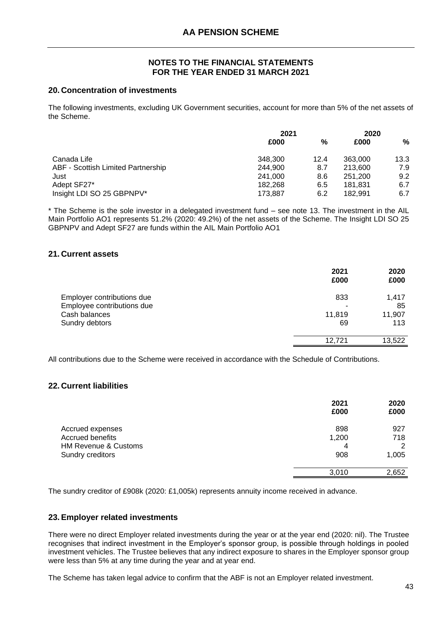# **20. Concentration of investments** )

The following investments, excluding UK Government securities, account for more than 5% of the net assets of the Scheme.

|                                    | 2021    |      | 2020    |      |
|------------------------------------|---------|------|---------|------|
|                                    | £000    | %    | £000    | %    |
| Canada Life                        | 348,300 | 12.4 | 363,000 | 13.3 |
| ABF - Scottish Limited Partnership | 244,900 | 8.7  | 213,600 | 7.9  |
| Just                               | 241,000 | 8.6  | 251,200 | 9.2  |
| Adept SF27*                        | 182.268 | 6.5  | 181.831 | 6.7  |
| Insight LDI SO 25 GBPNPV*          | 173.887 | 6.2  | 182.991 | 6.7  |

\* The Scheme is the sole investor in a delegated investment fund – see note 13. The investment in the AIL Main Portfolio AO1 represents 51.2% (2020: 49.2%) of the net assets of the Scheme. The Insight LDI SO 25 GBPNPV and Adept SF27 are funds within the AIL Main Portfolio AO1

# **21. Current assets** ) )

|                            | 2021<br>£000 | 2020<br>£000 |
|----------------------------|--------------|--------------|
| Employer contributions due | 833          | 1,417        |
| Employee contributions due |              | 85           |
| Cash balances              | 11,819       | 11,907       |
| Sundry debtors             | 69           | 113          |
|                            | 12.721       | 13,522       |
|                            |              |              |

All contributions due to the Scheme were received in accordance with the Schedule of Contributions.

# **22. Current liabilities** ) )

|                                 | 2021<br>£000 | 2020<br>£000 |
|---------------------------------|--------------|--------------|
| Accrued expenses                | 898          | 927          |
| Accrued benefits                | 1,200        | 718          |
| <b>HM Revenue &amp; Customs</b> |              | 2            |
| Sundry creditors                | 908          | 1,005        |
|                                 | 3.010        | 2,652        |
|                                 |              |              |

The sundry creditor of £908k (2020: £1,005k) represents annuity income received in advance.

# **23.Employer related investments** )

There were no direct Employer related investments during the year or at the year end (2020: nil). The Trustee recognises that indirect investment in the Employer's sponsor group, is possible through holdings in pooled investment vehicles. The Trustee believes that any indirect exposure to shares in the Employer sponsor group were less than 5% at any time during the year and at year end.

The Scheme has taken legal advice to confirm that the ABF is not an Employer related investment.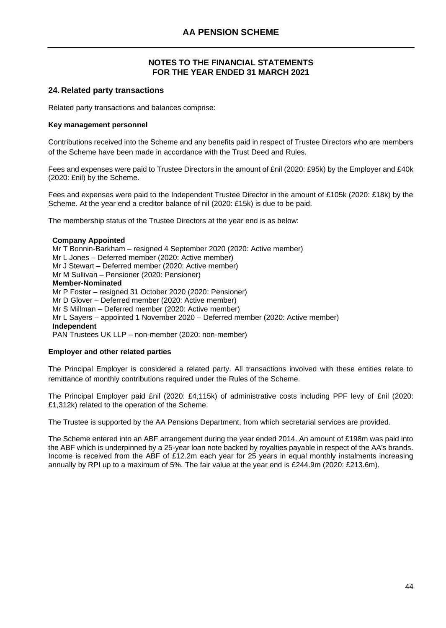# **24. Related party transactions** )

Related party transactions and balances comprise:

#### **Key management personnel**

Contributions received into the Scheme and any benefits paid in respect of Trustee Directors who are members of the Scheme have been made in accordance with the Trust Deed and Rules.

Fees and expenses were paid to Trustee Directors in the amount of £nil (2020: £95k) by the Employer and £40k (2020: £nil) by the Scheme.

Fees and expenses were paid to the Independent Trustee Director in the amount of £105k (2020: £18k) by the Scheme. At the year end a creditor balance of nil (2020: £15k) is due to be paid.

The membership status of the Trustee Directors at the year end is as below:

#### **Company Appointed**

Mr T Bonnin-Barkham – resigned 4 September 2020 (2020: Active member) Mr L Jones – Deferred member (2020: Active member) Mr J Stewart – Deferred member (2020: Active member) Mr M Sullivan – Pensioner (2020: Pensioner) **Member-Nominated** Mr P Foster – resigned 31 October 2020 (2020: Pensioner) Mr D Glover – Deferred member (2020: Active member) Mr S Millman – Deferred member (2020: Active member) Mr L Sayers – appointed 1 November 2020 – Deferred member (2020: Active member) **Independent** PAN Trustees UK LLP – non-member (2020: non-member)

#### **Employer and other related parties**

The Principal Employer is considered a related party. All transactions involved with these entities relate to remittance of monthly contributions required under the Rules of the Scheme.

The Principal Employer paid £nil (2020: £4,115k) of administrative costs including PPF levy of £nil (2020: £1,312k) related to the operation of the Scheme.

The Trustee is supported by the AA Pensions Department, from which secretarial services are provided.

The Scheme entered into an ABF arrangement during the year ended 2014. An amount of £198m was paid into the ABF which is underpinned by a 25-year loan note backed by royalties payable in respect of the AA's brands. Income is received from the ABF of £12.2m each year for 25 years in equal monthly instalments increasing annually by RPI up to a maximum of 5%. The fair value at the year end is £244.9m (2020: £213.6m).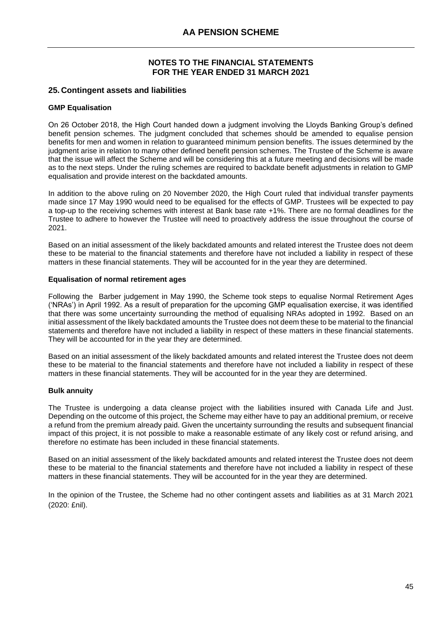# **25. Contingent assets and liabilities** )

#### **GMP Equalisation**

On 26 October 2018, the High Court handed down a judgment involving the Lloyds Banking Group's defined benefit pension schemes. The judgment concluded that schemes should be amended to equalise pension benefits for men and women in relation to guaranteed minimum pension benefits. The issues determined by the judgment arise in relation to many other defined benefit pension schemes. The Trustee of the Scheme is aware that the issue will affect the Scheme and will be considering this at a future meeting and decisions will be made as to the next steps. Under the ruling schemes are required to backdate benefit adjustments in relation to GMP equalisation and provide interest on the backdated amounts.

In addition to the above ruling on 20 November 2020, the High Court ruled that individual transfer payments made since 17 May 1990 would need to be equalised for the effects of GMP. Trustees will be expected to pay a top-up to the receiving schemes with interest at Bank base rate +1%. There are no formal deadlines for the Trustee to adhere to however the Trustee will need to proactively address the issue throughout the course of 2021.

Based on an initial assessment of the likely backdated amounts and related interest the Trustee does not deem these to be material to the financial statements and therefore have not included a liability in respect of these matters in these financial statements. They will be accounted for in the year they are determined.

#### **Equalisation of normal retirement ages**

Following the Barber judgement in May 1990, the Scheme took steps to equalise Normal Retirement Ages ('NRAs') in April 1992. As a result of preparation for the upcoming GMP equalisation exercise, it was identified that there was some uncertainty surrounding the method of equalising NRAs adopted in 1992. Based on an initial assessment of the likely backdated amounts the Trustee does not deem these to be material to the financial statements and therefore have not included a liability in respect of these matters in these financial statements. They will be accounted for in the year they are determined.

Based on an initial assessment of the likely backdated amounts and related interest the Trustee does not deem these to be material to the financial statements and therefore have not included a liability in respect of these matters in these financial statements. They will be accounted for in the year they are determined.

# **Bulk annuity**

The Trustee is undergoing a data cleanse project with the liabilities insured with Canada Life and Just. Depending on the outcome of this project, the Scheme may either have to pay an additional premium, or receive a refund from the premium already paid. Given the uncertainty surrounding the results and subsequent financial impact of this project, it is not possible to make a reasonable estimate of any likely cost or refund arising, and therefore no estimate has been included in these financial statements.

Based on an initial assessment of the likely backdated amounts and related interest the Trustee does not deem these to be material to the financial statements and therefore have not included a liability in respect of these matters in these financial statements. They will be accounted for in the year they are determined.

In the opinion of the Trustee, the Scheme had no other contingent assets and liabilities as at 31 March 2021 (2020: £nil).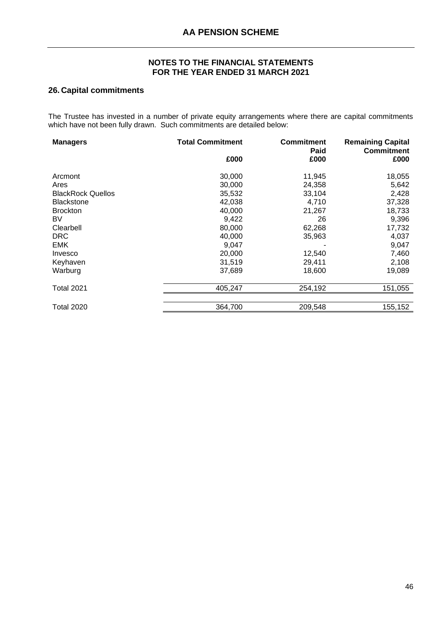# **26. Capital commitments** )

The Trustee has invested in a number of private equity arrangements where there are capital commitments which have not been fully drawn. Such commitments are detailed below:

| <b>Managers</b>          | <b>Total Commitment</b> | <b>Commitment</b><br>Paid | <b>Remaining Capital</b><br><b>Commitment</b> |
|--------------------------|-------------------------|---------------------------|-----------------------------------------------|
|                          | £000                    | £000                      | £000                                          |
| Arcmont                  | 30,000                  | 11,945                    | 18,055                                        |
| Ares                     | 30,000                  | 24,358                    | 5,642                                         |
| <b>BlackRock Quellos</b> | 35,532                  | 33,104                    | 2,428                                         |
| <b>Blackstone</b>        | 42,038                  | 4,710                     | 37,328                                        |
| <b>Brockton</b>          | 40,000                  | 21,267                    | 18,733                                        |
| BV.                      | 9,422                   | 26                        | 9,396                                         |
| Clearbell                | 80,000                  | 62,268                    | 17,732                                        |
| <b>DRC</b>               | 40,000                  | 35,963                    | 4,037                                         |
| EMK                      | 9,047                   |                           | 9,047                                         |
| Invesco                  | 20,000                  | 12,540                    | 7,460                                         |
| Keyhaven                 | 31,519                  | 29,411                    | 2,108                                         |
| Warburg                  | 37,689                  | 18,600                    | 19,089                                        |
| <b>Total 2021</b>        | 405,247                 | 254,192                   | 151,055                                       |
| Total 2020               | 364,700                 | 209,548                   | 155,152                                       |
|                          |                         |                           |                                               |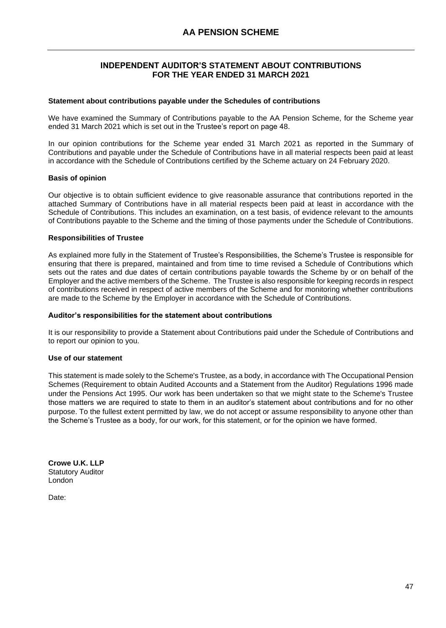# **INDEPENDENT AUDITOR'S STATEMENT ABOUT CONTRIBUTIONS FOR THE YEAR ENDED 31 MARCH 2021**

#### <span id="page-48-0"></span>**Statement about contributions payable under the Schedules of contributions**

We have examined the Summary of Contributions payable to the AA Pension Scheme, for the Scheme year ended 31 March 2021 which is set out in the Trustee's report on page 48.

In our opinion contributions for the Scheme year ended 31 March 2021 as reported in the Summary of Contributions and payable under the Schedule of Contributions have in all material respects been paid at least in accordance with the Schedule of Contributions certified by the Scheme actuary on 24 February 2020.

#### **Basis of opinion**

Our objective is to obtain sufficient evidence to give reasonable assurance that contributions reported in the attached Summary of Contributions have in all material respects been paid at least in accordance with the Schedule of Contributions. This includes an examination, on a test basis, of evidence relevant to the amounts of Contributions payable to the Scheme and the timing of those payments under the Schedule of Contributions.

#### **Responsibilities of Trustee**

As explained more fully in the Statement of Trustee's Responsibilities, the Scheme's Trustee is responsible for ensuring that there is prepared, maintained and from time to time revised a Schedule of Contributions which sets out the rates and due dates of certain contributions payable towards the Scheme by or on behalf of the Employer and the active members of the Scheme. The Trustee is also responsible for keeping records in respect of contributions received in respect of active members of the Scheme and for monitoring whether contributions are made to the Scheme by the Employer in accordance with the Schedule of Contributions.

#### **Auditor's responsibilities for the statement about contributions**

It is our responsibility to provide a Statement about Contributions paid under the Schedule of Contributions and to report our opinion to you.

#### **Use of our statement**

This statement is made solely to the Scheme's Trustee, as a body, in accordance with The Occupational Pension Schemes (Requirement to obtain Audited Accounts and a Statement from the Auditor) Regulations 1996 made under the Pensions Act 1995. Our work has been undertaken so that we might state to the Scheme's Trustee those matters we are required to state to them in an auditor's statement about contributions and for no other purpose. To the fullest extent permitted by law, we do not accept or assume responsibility to anyone other than the Scheme's Trustee as a body, for our work, for this statement, or for the opinion we have formed.

CLOWE U.K. LLP

**Crowe U.K. LLP** Statutory Auditor London

Date: 27 October 2021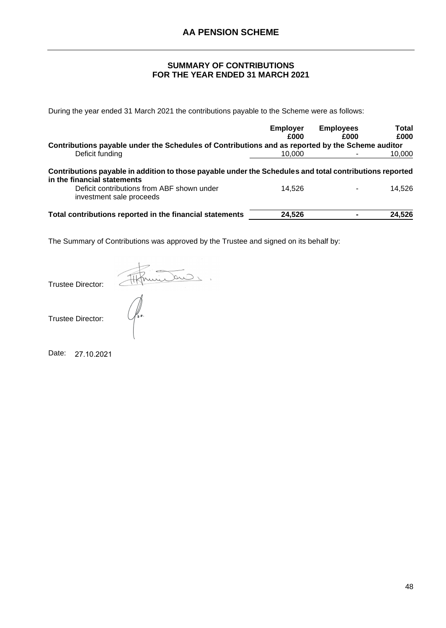# **SUMMARY OF CONTRIBUTIONS FOR THE YEAR ENDED 31 MARCH 2021**

<span id="page-49-0"></span>During the year ended 31 March 2021 the contributions payable to the Scheme were as follows:

|                                                                                                                                        | <b>Employer</b><br>£000 | <b>Employees</b><br>£000 | <b>Total</b><br>£000 |
|----------------------------------------------------------------------------------------------------------------------------------------|-------------------------|--------------------------|----------------------|
| Contributions payable under the Schedules of Contributions and as reported by the Scheme auditor                                       |                         |                          |                      |
| Deficit funding                                                                                                                        | 10.000                  |                          | 10,000               |
| Contributions payable in addition to those payable under the Schedules and total contributions reported<br>in the financial statements |                         |                          |                      |
| Deficit contributions from ABF shown under<br>investment sale proceeds                                                                 | 14.526                  |                          | 14.526               |
| Total contributions reported in the financial statements                                                                               | 24,526                  |                          | 24,526               |

The Summary of Contributions was approved by the Trustee and signed on its behalf by:

Afhinitano. Trustee Director:

Trustee Director:

Date: 27.10.2021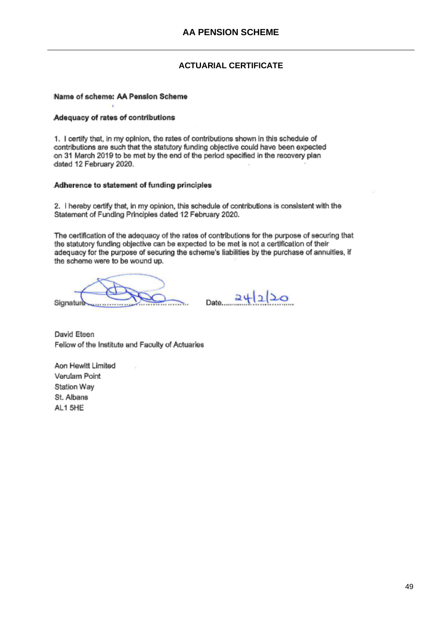# **ACTUARIAL CERTIFICATE**

#### <span id="page-50-0"></span>Name of scheme: AA Pension Scheme

#### Adequacy of rates of contributions

1. I certify that, in my opinion, the rates of contributions shown in this schedule of contributions are such that the statutory funding objective could have been expected on 31 March 2019 to be met by the end of the period specified in the recovery plan dated 12 February 2020.

#### Adherence to statement of funding principles

2. I hereby certify that, in my opinion, this schedule of contributions is consistent with the Statement of Funding Principles dated 12 February 2020.

The certification of the adequacy of the rates of contributions for the purpose of securing that the statutory funding objective can be expected to be met is not a certification of their adequacy for the purpose of securing the scheme's liabilities by the purchase of annuities, if the scheme were to be wound up.

Signature . . . . . . . . . . . . . .

 $24220$ Date...

David Eteen Feliow of the Institute and Faculty of Actuaries

Aon Hewitt Limited Verulam Point Station Way St. Albans AL1 5HE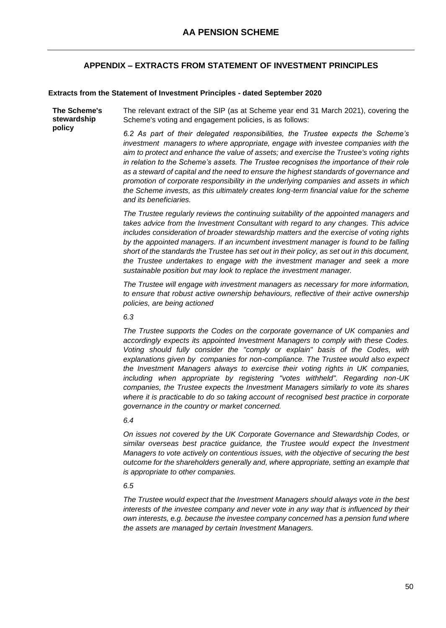# **APPENDIX – EXTRACTS FROM STATEMENT OF INVESTMENT PRINCIPLES**

#### <span id="page-51-0"></span>**Extracts from the Statement of Investment Principles - dated September 2020**

**The Scheme's stewardship policy**  The relevant extract of the SIP (as at Scheme year end 31 March 2021), covering the Scheme's voting and engagement policies, is as follows:

*6.2 As part of their delegated responsibilities, the Trustee expects the Scheme's investment managers to where appropriate, engage with investee companies with the aim to protect and enhance the value of assets; and exercise the Trustee's voting rights in relation to the Scheme's assets. The Trustee recognises the importance of their role as a steward of capital and the need to ensure the highest standards of governance and promotion of corporate responsibility in the underlying companies and assets in which the Scheme invests, as this ultimately creates long-term financial value for the scheme and its beneficiaries.*

*The Trustee regularly reviews the continuing suitability of the appointed managers and takes advice from the Investment Consultant with regard to any changes. This advice includes consideration of broader stewardship matters and the exercise of voting rights*  by the appointed managers. If an incumbent investment manager is found to be falling *short of the standards the Trustee has set out in their policy, as set out in this document, the Trustee undertakes to engage with the investment manager and seek a more sustainable position but may look to replace the investment manager.*

*The Trustee will engage with investment managers as necessary for more information, to ensure that robust active ownership behaviours, reflective of their active ownership policies, are being actioned*

*6.3*

*The Trustee supports the Codes on the corporate governance of UK companies and accordingly expects its appointed Investment Managers to comply with these Codes. Voting should fully consider the "comply or explain" basis of the Codes, with explanations given by companies for non-compliance. The Trustee would also expect the Investment Managers always to exercise their voting rights in UK companies, including when appropriate by registering "votes withheld". Regarding non-UK companies, the Trustee expects the Investment Managers similarly to vote its shares where it is practicable to do so taking account of recognised best practice in corporate governance in the country or market concerned.*

#### *6.4*

*On issues not covered by the UK Corporate Governance and Stewardship Codes, or similar overseas best practice guidance, the Trustee would expect the Investment Managers to vote actively on contentious issues, with the objective of securing the best outcome for the shareholders generally and, where appropriate, setting an example that is appropriate to other companies.*

#### *6.5*

*The Trustee would expect that the Investment Managers should always vote in the best interests of the investee company and never vote in any way that is influenced by their own interests, e.g. because the investee company concerned has a pension fund where the assets are managed by certain Investment Managers.*